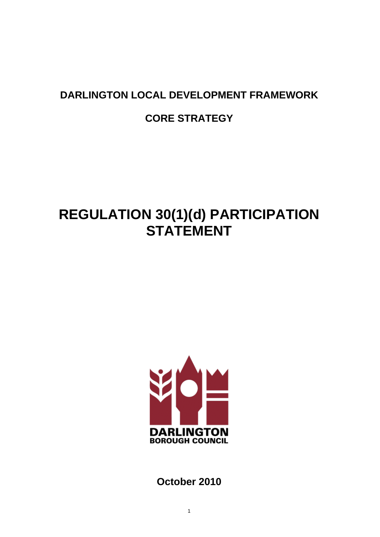# **DARLINGTON LOCAL DEVELOPMENT FRAMEWORK**

# **CORE STRATEGY**

# **REGULATION 30(1)(d) PARTICIPATION STATEMENT**



**October 2010**

1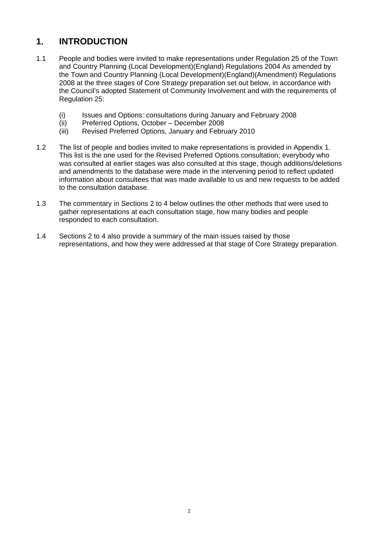# **1. INTRODUCTION**

- 1.1 People and bodies were invited to make representations under Regulation 25 of the Town and Country Planning (Local Development)(England) Regulations 2004 As amended by the Town and Country Planning (Local Development)(England)(Amendment) Regulations 2008 at the three stages of Core Strategy preparation set out below, in accordance with the Council's adopted Statement of Community Involvement and with the requirements of Regulation 25:
	- (i) Issues and Options: consultations during January and February 2008
	- (ii) Preferred Options, October December 2008
	- (iii) Revised Preferred Options, January and February 2010
- 1.2 The list of people and bodies invited to make representations is provided in Appendix 1. This list is the one used for the Revised Preferred Options consultation; everybody who was consulted at earlier stages was also consulted at this stage, though additions/deletions and amendments to the database were made in the intervening period to reflect updated information about consultees that was made available to us and new requests to be added to the consultation database.
- 1.3 The commentary in Sections 2 to 4 below outlines the other methods that were used to gather representations at each consultation stage, how many bodies and people responded to each consultation.
- 1.4 Sections 2 to 4 also provide a summary of the main issues raised by those representations, and how they were addressed at that stage of Core Strategy preparation.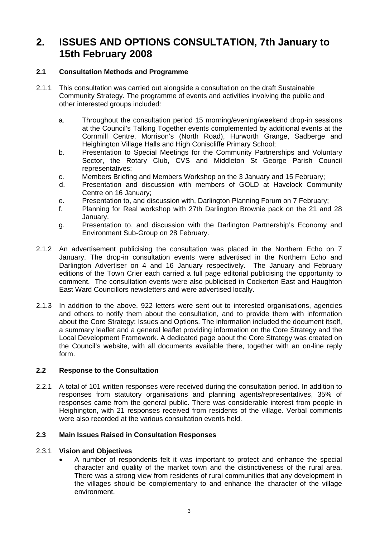# **2. ISSUES AND OPTIONS CONSULTATION, 7th January to 15th February 2008**

# **2.1 Consultation Methods and Programme**

- 2.1.1 This consultation was carried out alongside a consultation on the draft Sustainable Community Strategy. The programme of events and activities involving the public and other interested groups included:
	- a. Throughout the consultation period 15 morning/evening/weekend drop-in sessions at the Council's Talking Together events complemented by additional events at the Cornmill Centre, Morrison's (North Road), Hurworth Grange, Sadberge and Heighington Village Halls and High Coniscliffe Primary School;
	- b. Presentation to Special Meetings for the Community Partnerships and Voluntary Sector, the Rotary Club, CVS and Middleton St George Parish Council representatives;
	- c. Members Briefing and Members Workshop on the 3 January and 15 February;
	- d. Presentation and discussion with members of GOLD at Havelock Community Centre on 16 January;
	- e. Presentation to, and discussion with, Darlington Planning Forum on 7 February;
	- f. Planning for Real workshop with 27th Darlington Brownie pack on the 21 and 28 January.
	- g. Presentation to, and discussion with the Darlington Partnership's Economy and Environment Sub-Group on 28 February.
- 2.1.2 An advertisement publicising the consultation was placed in the Northern Echo on 7 January. The drop-in consultation events were advertised in the Northern Echo and Darlington Advertiser on 4 and 16 January respectively. The January and February editions of the Town Crier each carried a full page editorial publicising the opportunity to comment. The consultation events were also publicised in Cockerton East and Haughton East Ward Councillors newsletters and were advertised locally.
- 2.1.3 In addition to the above, 922 letters were sent out to interested organisations, agencies and others to notify them about the consultation, and to provide them with information about the Core Strategy: Issues and Options. The information included the document itself, a summary leaflet and a general leaflet providing information on the Core Strategy and the Local Development Framework. A dedicated page about the Core Strategy was created on the Council's website, with all documents available there, together with an on-line reply form.

# **2.2 Response to the Consultation**

2.2.1 A total of 101 written responses were received during the consultation period. In addition to responses from statutory organisations and planning agents/representatives, 35% of responses came from the general public. There was considerable interest from people in Heighington, with 21 responses received from residents of the village. Verbal comments were also recorded at the various consultation events held.

# **2.3 Main Issues Raised in Consultation Responses**

# 2.3.1 **Vision and Objectives**

• A number of respondents felt it was important to protect and enhance the special character and quality of the market town and the distinctiveness of the rural area. There was a strong view from residents of rural communities that any development in the villages should be complementary to and enhance the character of the village environment.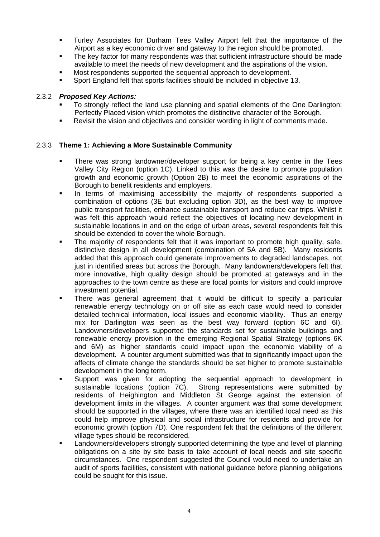- Turley Associates for Durham Tees Valley Airport felt that the importance of the Airport as a key economic driver and gateway to the region should be promoted.
- The key factor for many respondents was that sufficient infrastructure should be made available to meet the needs of new development and the aspirations of the vision.
- Most respondents supported the sequential approach to development.
- Sport England felt that sports facilities should be included in objective 13.

# 2.3.2 *Proposed Key Actions:*

- To strongly reflect the land use planning and spatial elements of the One Darlington: Perfectly Placed vision which promotes the distinctive character of the Borough.
- Revisit the vision and objectives and consider wording in light of comments made.

# 2.3.3 **Theme 1: Achieving a More Sustainable Community**

- There was strong landowner/developer support for being a key centre in the Tees Valley City Region (option 1C). Linked to this was the desire to promote population growth and economic growth (Option 2B) to meet the economic aspirations of the Borough to benefit residents and employers.
- In terms of maximising accessibility the majority of respondents supported a combination of options (3E but excluding option 3D), as the best way to improve public transport facilities, enhance sustainable transport and reduce car trips. Whilst it was felt this approach would reflect the objectives of locating new development in sustainable locations in and on the edge of urban areas, several respondents felt this should be extended to cover the whole Borough.
- The majority of respondents felt that it was important to promote high quality, safe, distinctive design in all development (combination of 5A and 5B). Many residents added that this approach could generate improvements to degraded landscapes, not just in identified areas but across the Borough. Many landowners/developers felt that more innovative, high quality design should be promoted at gateways and in the approaches to the town centre as these are focal points for visitors and could improve investment potential.
- There was general agreement that it would be difficult to specify a particular renewable energy technology on or off site as each case would need to consider detailed technical information, local issues and economic viability. Thus an energy mix for Darlington was seen as the best way forward (option 6C and 6I). Landowners/developers supported the standards set for sustainable buildings and renewable energy provision in the emerging Regional Spatial Strategy (options 6K and 6M) as higher standards could impact upon the economic viability of a development. A counter argument submitted was that to significantly impact upon the affects of climate change the standards should be set higher to promote sustainable development in the long term.
- Support was given for adopting the sequential approach to development in sustainable locations (option 7C). Strong representations were submitted by residents of Heighington and Middleton St George against the extension of development limits in the villages. A counter argument was that some development should be supported in the villages, where there was an identified local need as this could help improve physical and social infrastructure for residents and provide for economic growth (option 7D). One respondent felt that the definitions of the different village types should be reconsidered.
- Landowners/developers strongly supported determining the type and level of planning obligations on a site by site basis to take account of local needs and site specific circumstances. One respondent suggested the Council would need to undertake an audit of sports facilities, consistent with national guidance before planning obligations could be sought for this issue.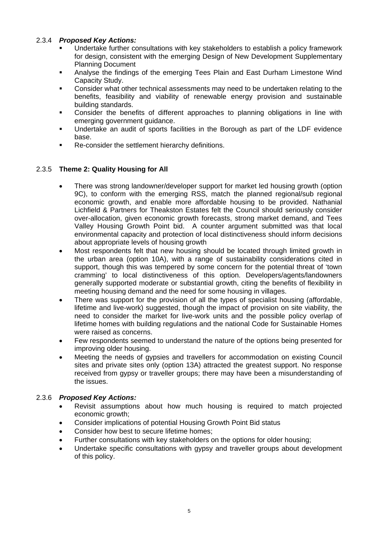# 2.3.4 *Proposed Key Actions:*

- Undertake further consultations with key stakeholders to establish a policy framework for design, consistent with the emerging Design of New Development Supplementary Planning Document
- Analyse the findings of the emerging Tees Plain and East Durham Limestone Wind Capacity Study.
- Consider what other technical assessments may need to be undertaken relating to the benefits, feasibility and viability of renewable energy provision and sustainable building standards.
- Consider the benefits of different approaches to planning obligations in line with emerging government guidance.
- Undertake an audit of sports facilities in the Borough as part of the LDF evidence base.
- Re-consider the settlement hierarchy definitions.

# 2.3.5 **Theme 2: Quality Housing for All**

- There was strong landowner/developer support for market led housing growth (option 9C), to conform with the emerging RSS, match the planned regional/sub regional economic growth, and enable more affordable housing to be provided. Nathanial Lichfield & Partners for Theakston Estates felt the Council should seriously consider over-allocation, given economic growth forecasts, strong market demand, and Tees Valley Housing Growth Point bid. A counter argument submitted was that local environmental capacity and protection of local distinctiveness should inform decisions about appropriate levels of housing growth
- Most respondents felt that new housing should be located through limited growth in the urban area (option 10A), with a range of sustainability considerations cited in support, though this was tempered by some concern for the potential threat of 'town cramming' to local distinctiveness of this option. Developers/agents/landowners generally supported moderate or substantial growth, citing the benefits of flexibility in meeting housing demand and the need for some housing in villages.
- There was support for the provision of all the types of specialist housing (affordable, lifetime and live-work) suggested, though the impact of provision on site viability, the need to consider the market for live-work units and the possible policy overlap of lifetime homes with building regulations and the national Code for Sustainable Homes were raised as concerns.
- Few respondents seemed to understand the nature of the options being presented for improving older housing.
- Meeting the needs of gypsies and travellers for accommodation on existing Council sites and private sites only (option 13A) attracted the greatest support. No response received from gypsy or traveller groups; there may have been a misunderstanding of the issues.

# 2.3.6 *Proposed Key Actions:*

- Revisit assumptions about how much housing is required to match projected economic growth;
- Consider implications of potential Housing Growth Point Bid status
- Consider how best to secure lifetime homes:
- Further consultations with key stakeholders on the options for older housing;
- Undertake specific consultations with gypsy and traveller groups about development of this policy.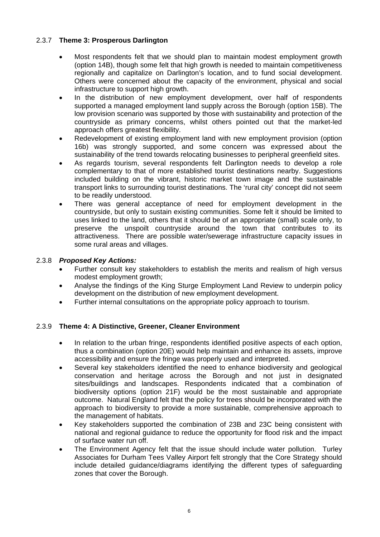# 2.3.7 **Theme 3: Prosperous Darlington**

- Most respondents felt that we should plan to maintain modest employment growth (option 14B), though some felt that high growth is needed to maintain competitiveness regionally and capitalize on Darlington's location, and to fund social development. Others were concerned about the capacity of the environment, physical and social infrastructure to support high growth.
- In the distribution of new employment development, over half of respondents supported a managed employment land supply across the Borough (option 15B). The low provision scenario was supported by those with sustainability and protection of the countryside as primary concerns, whilst others pointed out that the market-led approach offers greatest flexibility.
- Redevelopment of existing employment land with new employment provision (option 16b) was strongly supported, and some concern was expressed about the sustainability of the trend towards relocating businesses to peripheral greenfield sites.
- As regards tourism, several respondents felt Darlington needs to develop a role complementary to that of more established tourist destinations nearby. Suggestions included building on the vibrant, historic market town image and the sustainable transport links to surrounding tourist destinations. The 'rural city' concept did not seem to be readily understood.
- There was general acceptance of need for employment development in the countryside, but only to sustain existing communities. Some felt it should be limited to uses linked to the land, others that it should be of an appropriate (small) scale only, to preserve the unspoilt countryside around the town that contributes to its attractiveness. There are possible water/sewerage infrastructure capacity issues in some rural areas and villages.

# 2.3.8 *Proposed Key Actions:*

- Further consult key stakeholders to establish the merits and realism of high versus modest employment growth;
- Analyse the findings of the King Sturge Employment Land Review to underpin policy development on the distribution of new employment development.
- Further internal consultations on the appropriate policy approach to tourism.

# 2.3.9 **Theme 4: A Distinctive, Greener, Cleaner Environment**

- In relation to the urban fringe, respondents identified positive aspects of each option, thus a combination (option 20E) would help maintain and enhance its assets, improve accessibility and ensure the fringe was properly used and interpreted.
- Several key stakeholders identified the need to enhance biodiversity and geological conservation and heritage across the Borough and not just in designated sites/buildings and landscapes. Respondents indicated that a combination of biodiversity options (option 21F) would be the most sustainable and appropriate outcome. Natural England felt that the policy for trees should be incorporated with the approach to biodiversity to provide a more sustainable, comprehensive approach to the management of habitats.
- Key stakeholders supported the combination of 23B and 23C being consistent with national and regional guidance to reduce the opportunity for flood risk and the impact of surface water run off.
- The Environment Agency felt that the issue should include water pollution. Turley Associates for Durham Tees Valley Airport felt strongly that the Core Strategy should include detailed guidance/diagrams identifying the different types of safeguarding zones that cover the Borough.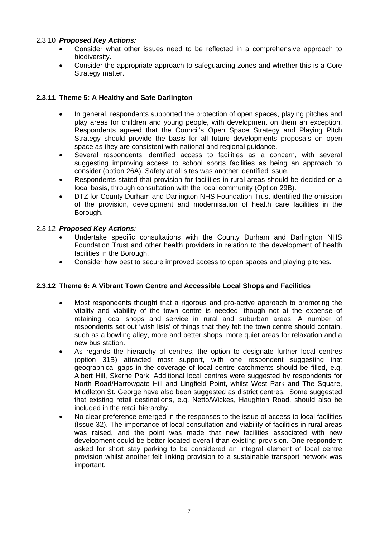# 2.3.10 *Proposed Key Actions:*

- Consider what other issues need to be reflected in a comprehensive approach to biodiversity.
- Consider the appropriate approach to safeguarding zones and whether this is a Core Strategy matter.

# **2.3.11 Theme 5: A Healthy and Safe Darlington**

- In general, respondents supported the protection of open spaces, playing pitches and play areas for children and young people, with development on them an exception. Respondents agreed that the Council's Open Space Strategy and Playing Pitch Strategy should provide the basis for all future developments proposals on open space as they are consistent with national and regional guidance.
- Several respondents identified access to facilities as a concern, with several suggesting improving access to school sports facilities as being an approach to consider (option 26A). Safety at all sites was another identified issue.
- Respondents stated that provision for facilities in rural areas should be decided on a local basis, through consultation with the local community (Option 29B).
- DTZ for County Durham and Darlington NHS Foundation Trust identified the omission of the provision, development and modernisation of health care facilities in the Borough.

# 2.3.12 *Proposed Key Actions:*

- Undertake specific consultations with the County Durham and Darlington NHS Foundation Trust and other health providers in relation to the development of health facilities in the Borough.
- Consider how best to secure improved access to open spaces and playing pitches.

# **2.3.12 Theme 6: A Vibrant Town Centre and Accessible Local Shops and Facilities**

- Most respondents thought that a rigorous and pro-active approach to promoting the vitality and viability of the town centre is needed, though not at the expense of retaining local shops and service in rural and suburban areas. A number of respondents set out 'wish lists' of things that they felt the town centre should contain, such as a bowling alley, more and better shops, more quiet areas for relaxation and a new bus station.
- As regards the hierarchy of centres, the option to designate further local centres (option 31B) attracted most support, with one respondent suggesting that geographical gaps in the coverage of local centre catchments should be filled, e.g. Albert Hill, Skerne Park. Additional local centres were suggested by respondents for North Road/Harrowgate Hill and Lingfield Point, whilst West Park and The Square, Middleton St. George have also been suggested as district centres. Some suggested that existing retail destinations, e.g. Netto/Wickes, Haughton Road, should also be included in the retail hierarchy.
- No clear preference emerged in the responses to the issue of access to local facilities (Issue 32). The importance of local consultation and viability of facilities in rural areas was raised, and the point was made that new facilities associated with new development could be better located overall than existing provision. One respondent asked for short stay parking to be considered an integral element of local centre provision whilst another felt linking provision to a sustainable transport network was important.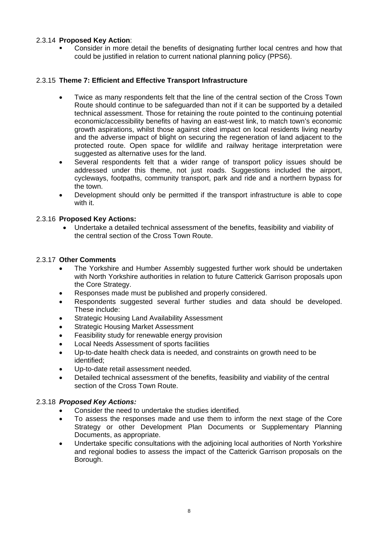# 2.3.14 **Proposed Key Action**:

 Consider in more detail the benefits of designating further local centres and how that could be justified in relation to current national planning policy (PPS6).

# 2.3.15 **Theme 7: Efficient and Effective Transport Infrastructure**

- Twice as many respondents felt that the line of the central section of the Cross Town Route should continue to be safeguarded than not if it can be supported by a detailed technical assessment. Those for retaining the route pointed to the continuing potential economic/accessibility benefits of having an east-west link, to match town's economic growth aspirations, whilst those against cited impact on local residents living nearby and the adverse impact of blight on securing the regeneration of land adjacent to the protected route. Open space for wildlife and railway heritage interpretation were suggested as alternative uses for the land.
- Several respondents felt that a wider range of transport policy issues should be addressed under this theme, not just roads. Suggestions included the airport, cycleways, footpaths, community transport, park and ride and a northern bypass for the town.
- Development should only be permitted if the transport infrastructure is able to cope with it.

# 2.3.16 **Proposed Key Actions:**

• Undertake a detailed technical assessment of the benefits, feasibility and viability of the central section of the Cross Town Route.

#### 2.3.17 **Other Comments**

- The Yorkshire and Humber Assembly suggested further work should be undertaken with North Yorkshire authorities in relation to future Catterick Garrison proposals upon the Core Strategy.
- Responses made must be published and properly considered.
- Respondents suggested several further studies and data should be developed. These include:
- Strategic Housing Land Availability Assessment
- **Strategic Housing Market Assessment**
- Feasibility study for renewable energy provision
- Local Needs Assessment of sports facilities
- Up-to-date health check data is needed, and constraints on growth need to be identified;
- Up-to-date retail assessment needed.
- Detailed technical assessment of the benefits, feasibility and viability of the central section of the Cross Town Route.

# 2.3.18 *Proposed Key Actions:*

- Consider the need to undertake the studies identified.
- To assess the responses made and use them to inform the next stage of the Core Strategy or other Development Plan Documents or Supplementary Planning Documents, as appropriate.
- Undertake specific consultations with the adjoining local authorities of North Yorkshire and regional bodies to assess the impact of the Catterick Garrison proposals on the Borough.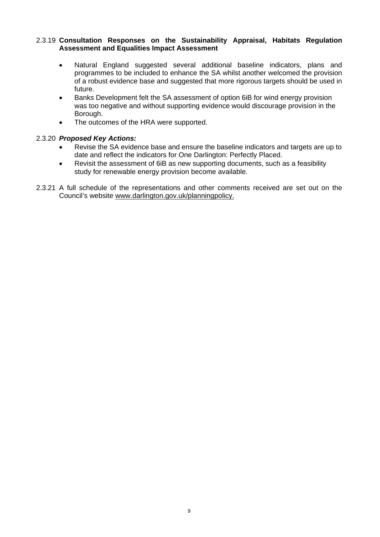#### 2.3.19 **Consultation Responses on the Sustainability Appraisal, Habitats Regulation Assessment and Equalities Impact Assessment**

- Natural England suggested several additional baseline indicators, plans and programmes to be included to enhance the SA whilst another welcomed the provision of a robust evidence base and suggested that more rigorous targets should be used in future.
- Banks Development felt the SA assessment of option 6iB for wind energy provision was too negative and without supporting evidence would discourage provision in the Borough.
- The outcomes of the HRA were supported.

# 2.3.20 *Proposed Key Actions:*

- Revise the SA evidence base and ensure the baseline indicators and targets are up to date and reflect the indicators for One Darlington: Perfectly Placed.
- Revisit the assessment of 6iB as new supporting documents, such as a feasibility study for renewable energy provision become available.
- 2.3.21 A full schedule of the representations and other comments received are set out on the Council's website [www.darlington.gov.uk/planning](http://www.darlington.gov.uk/planning)policy.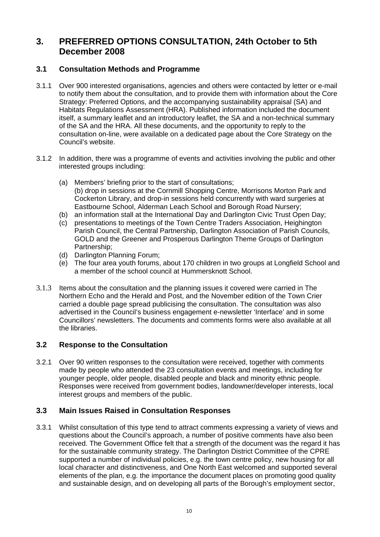# **3. PREFERRED OPTIONS CONSULTATION, 24th October to 5th December 2008**

# **3.1 Consultation Methods and Programme**

- 3.1.1 Over 900 interested organisations, agencies and others were contacted by letter or e-mail to notify them about the consultation, and to provide them with information about the Core Strategy: Preferred Options, and the accompanying sustainability appraisal (SA) and Habitats Regulations Assessment (HRA). Published information included the document itself, a summary leaflet and an introductory leaflet, the SA and a non-technical summary of the SA and the HRA. All these documents, and the opportunity to reply to the consultation on-line, were available on a dedicated page about the Core Strategy on the Council's website.
- 3.1.2 In addition, there was a programme of events and activities involving the public and other interested groups including:
	- (a) Members' briefing prior to the start of consultations; (b) drop in sessions at the Cornmill Shopping Centre, Morrisons Morton Park and Cockerton Library, and drop-in sessions held concurrently with ward surgeries at Eastbourne School, Alderman Leach School and Borough Road Nursery;
	- (b) an information stall at the International Day and Darlington Civic Trust Open Day;
	- (c) presentations to meetings of the Town Centre Traders Association, Heighington Parish Council, the Central Partnership, Darlington Association of Parish Councils, GOLD and the Greener and Prosperous Darlington Theme Groups of Darlington Partnership;
	- (d) Darlington Planning Forum;
	- (e) The four area youth forums, about 170 children in two groups at Longfield School and a member of the school council at Hummersknott School.
- 3.1.3 Items about the consultation and the planning issues it covered were carried in The Northern Echo and the Herald and Post, and the November edition of the Town Crier carried a double page spread publicising the consultation. The consultation was also advertised in the Council's business engagement e-newsletter 'Interface' and in some Councillors' newsletters. The documents and comments forms were also available at all the libraries.

# **3.2 Response to the Consultation**

3.2.1 Over 90 written responses to the consultation were received, together with comments made by people who attended the 23 consultation events and meetings, including for younger people, older people, disabled people and black and minority ethnic people. Responses were received from government bodies, landowner/developer interests, local interest groups and members of the public.

# **3.3 Main Issues Raised in Consultation Responses**

3.3.1 Whilst consultation of this type tend to attract comments expressing a variety of views and questions about the Council's approach, a number of positive comments have also been received. The Government Office felt that a strength of the document was the regard it has for the sustainable community strategy. The Darlington District Committee of the CPRE supported a number of individual policies, e.g. the town centre policy, new housing for all local character and distinctiveness, and One North East welcomed and supported several elements of the plan, e.g. the importance the document places on promoting good quality and sustainable design, and on developing all parts of the Borough's employment sector,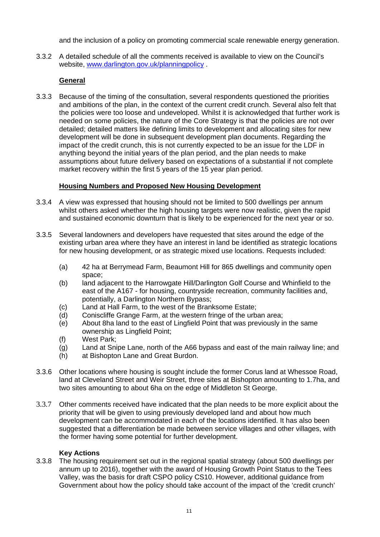and the inclusion of a policy on promoting commercial scale renewable energy generation.

3.3.2 A detailed schedule of all the comments received is available to view on the Council's website, www.darlington.gov.uk/planningpolicy.

# **General**

3.3.3 Because of the timing of the consultation, several respondents questioned the priorities and ambitions of the plan, in the context of the current credit crunch. Several also felt that the policies were too loose and undeveloped. Whilst it is acknowledged that further work is needed on some policies, the nature of the Core Strategy is that the policies are not over detailed; detailed matters like defining limits to development and allocating sites for new development will be done in subsequent development plan documents. Regarding the impact of the credit crunch, this is not currently expected to be an issue for the LDF in anything beyond the initial years of the plan period, and the plan needs to make assumptions about future delivery based on expectations of a substantial if not complete market recovery within the first 5 years of the 15 year plan period.

# **Housing Numbers and Proposed New Housing Development**

- 3.3.4 A view was expressed that housing should not be limited to 500 dwellings per annum whilst others asked whether the high housing targets were now realistic, given the rapid and sustained economic downturn that is likely to be experienced for the next year or so.
- 3.3.5 Several landowners and developers have requested that sites around the edge of the existing urban area where they have an interest in land be identified as strategic locations for new housing development, or as strategic mixed use locations. Requests included:
	- (a) 42 ha at Berrymead Farm, Beaumont Hill for 865 dwellings and community open space;
	- (b) land adjacent to the Harrowgate Hill/Darlington Golf Course and Whinfield to the east of the A167 - for housing, countryside recreation, community facilities and, potentially, a Darlington Northern Bypass;
	- (c) Land at Hall Farm, to the west of the Branksome Estate;
	- (d) Coniscliffe Grange Farm, at the western fringe of the urban area;
	- (e) About 8ha land to the east of Lingfield Point that was previously in the same ownership as Lingfield Point;
	- (f) West Park;
	- (g) Land at Snipe Lane, north of the A66 bypass and east of the main railway line; and
	- (h) at Bishopton Lane and Great Burdon.
- 3.3.6 Other locations where housing is sought include the former Corus land at Whessoe Road, land at Cleveland Street and Weir Street, three sites at Bishopton amounting to 1.7ha, and two sites amounting to about 6ha on the edge of Middleton St George.
- 3.3.7 Other comments received have indicated that the plan needs to be more explicit about the priority that will be given to using previously developed land and about how much development can be accommodated in each of the locations identified. It has also been suggested that a differentiation be made between service villages and other villages, with the former having some potential for further development.

# **Key Actions**

3.3.8 The housing requirement set out in the regional spatial strategy (about 500 dwellings per annum up to 2016), together with the award of Housing Growth Point Status to the Tees Valley, was the basis for draft CSPO policy CS10. However, additional guidance from Government about how the policy should take account of the impact of the 'credit crunch'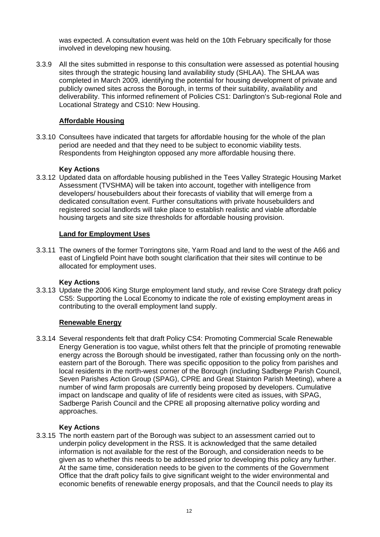was expected. A consultation event was held on the 10th February specifically for those involved in developing new housing.

3.3.9 All the sites submitted in response to this consultation were assessed as potential housing sites through the strategic housing land availability study (SHLAA). The SHLAA was completed in March 2009, identifying the potential for housing development of private and publicly owned sites across the Borough, in terms of their suitability, availability and deliverability. This informed refinement of Policies CS1: Darlington's Sub-regional Role and Locational Strategy and CS10: New Housing.

# **Affordable Housing**

3.3.10 Consultees have indicated that targets for affordable housing for the whole of the plan period are needed and that they need to be subject to economic viability tests. Respondents from Heighington opposed any more affordable housing there.

# **Key Actions**

3.3.12 Updated data on affordable housing published in the Tees Valley Strategic Housing Market Assessment (TVSHMA) will be taken into account, together with intelligence from developers/ housebuilders about their forecasts of viability that will emerge from a dedicated consultation event. Further consultations with private housebuilders and registered social landlords will take place to establish realistic and viable affordable housing targets and site size thresholds for affordable housing provision.

# **Land for Employment Uses**

3.3.11 The owners of the former Torringtons site, Yarm Road and land to the west of the A66 and east of Lingfield Point have both sought clarification that their sites will continue to be allocated for employment uses.

# **Key Actions**

3.3.13 Update the 2006 King Sturge employment land study, and revise Core Strategy draft policy CS5: Supporting the Local Economy to indicate the role of existing employment areas in contributing to the overall employment land supply.

# **Renewable Energy**

3.3.14 Several respondents felt that draft Policy CS4: Promoting Commercial Scale Renewable Energy Generation is too vague, whilst others felt that the principle of promoting renewable energy across the Borough should be investigated, rather than focussing only on the northeastern part of the Borough. There was specific opposition to the policy from parishes and local residents in the north-west corner of the Borough (including Sadberge Parish Council, Seven Parishes Action Group (SPAG), CPRE and Great Stainton Parish Meeting), where a number of wind farm proposals are currently being proposed by developers. Cumulative impact on landscape and quality of life of residents were cited as issues, with SPAG, Sadberge Parish Council and the CPRE all proposing alternative policy wording and approaches.

# **Key Actions**

3.3.15 The north eastern part of the Borough was subject to an assessment carried out to underpin policy development in the RSS. It is acknowledged that the same detailed information is not available for the rest of the Borough, and consideration needs to be given as to whether this needs to be addressed prior to developing this policy any further. At the same time, consideration needs to be given to the comments of the Government Office that the draft policy fails to give significant weight to the wider environmental and economic benefits of renewable energy proposals, and that the Council needs to play its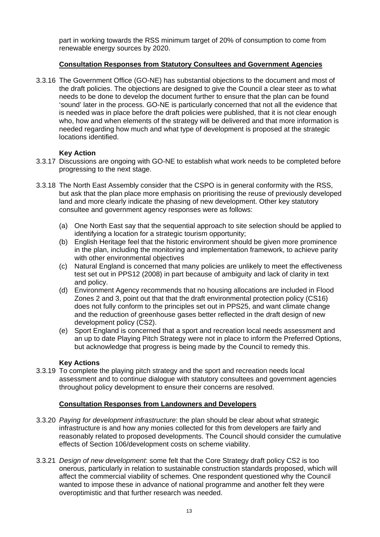part in working towards the RSS minimum target of 20% of consumption to come from renewable energy sources by 2020.

# **Consultation Responses from Statutory Consultees and Government Agencies**

3.3.16 The Government Office (GO-NE) has substantial objections to the document and most of the draft policies. The objections are designed to give the Council a clear steer as to what needs to be done to develop the document further to ensure that the plan can be found 'sound' later in the process. GO-NE is particularly concerned that not all the evidence that is needed was in place before the draft policies were published, that it is not clear enough who, how and when elements of the strategy will be delivered and that more information is needed regarding how much and what type of development is proposed at the strategic locations identified.

# **Key Action**

- 3.3.17 Discussions are ongoing with GO-NE to establish what work needs to be completed before progressing to the next stage.
- 3.3.18 The North East Assembly consider that the CSPO is in general conformity with the RSS, but ask that the plan place more emphasis on prioritising the reuse of previously developed land and more clearly indicate the phasing of new development. Other key statutory consultee and government agency responses were as follows:
	- (a) One North East say that the sequential approach to site selection should be applied to identifying a location for a strategic tourism opportunity;
	- (b) English Heritage feel that the historic environment should be given more prominence in the plan, including the monitoring and implementation framework, to achieve parity with other environmental objectives
	- (c) Natural England is concerned that many policies are unlikely to meet the effectiveness test set out in PPS12 (2008) in part because of ambiguity and lack of clarity in text and policy.
	- (d) Environment Agency recommends that no housing allocations are included in Flood Zones 2 and 3, point out that that the draft environmental protection policy (CS16) does not fully conform to the principles set out in PPS25, and want climate change and the reduction of greenhouse gases better reflected in the draft design of new development policy (CS2).
	- (e) Sport England is concerned that a sport and recreation local needs assessment and an up to date Playing Pitch Strategy were not in place to inform the Preferred Options, but acknowledge that progress is being made by the Council to remedy this.

# **Key Actions**

3.3.19 To complete the playing pitch strategy and the sport and recreation needs local assessment and to continue dialogue with statutory consultees and government agencies throughout policy development to ensure their concerns are resolved.

# **Consultation Responses from Landowners and Developers**

- 3.3.20 *Paying for development infrastructure*: the plan should be clear about what strategic infrastructure is and how any monies collected for this from developers are fairly and reasonably related to proposed developments. The Council should consider the cumulative effects of Section 106/development costs on scheme viability.
- 3.3.21 *Design of new development*: some felt that the Core Strategy draft policy CS2 is too onerous, particularly in relation to sustainable construction standards proposed, which will affect the commercial viability of schemes. One respondent questioned why the Council wanted to impose these in advance of national programme and another felt they were overoptimistic and that further research was needed.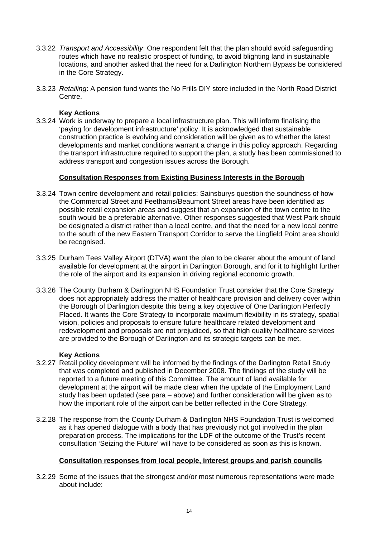- 3.3.22 *Transport and Accessibility*: One respondent felt that the plan should avoid safeguarding routes which have no realistic prospect of funding, to avoid blighting land in sustainable locations, and another asked that the need for a Darlington Northern Bypass be considered in the Core Strategy.
- 3.3.23 *Retailing*: A pension fund wants the No Frills DIY store included in the North Road District Centre.

#### **Key Actions**

3.3.24 Work is underway to prepare a local infrastructure plan. This will inform finalising the 'paying for development infrastructure' policy. It is acknowledged that sustainable construction practice is evolving and consideration will be given as to whether the latest developments and market conditions warrant a change in this policy approach. Regarding the transport infrastructure required to support the plan, a study has been commissioned to address transport and congestion issues across the Borough.

#### **Consultation Responses from Existing Business Interests in the Borough**

- 3.3.24 Town centre development and retail policies: Sainsburys question the soundness of how the Commercial Street and Feethams/Beaumont Street areas have been identified as possible retail expansion areas and suggest that an expansion of the town centre to the south would be a preferable alternative. Other responses suggested that West Park should be designated a district rather than a local centre, and that the need for a new local centre to the south of the new Eastern Transport Corridor to serve the Lingfield Point area should be recognised.
- 3.3.25 Durham Tees Valley Airport (DTVA) want the plan to be clearer about the amount of land available for development at the airport in Darlington Borough, and for it to highlight further the role of the airport and its expansion in driving regional economic growth.
- 3.3.26 The County Durham & Darlington NHS Foundation Trust consider that the Core Strategy does not appropriately address the matter of healthcare provision and delivery cover within the Borough of Darlington despite this being a key objective of One Darlington Perfectly Placed. It wants the Core Strategy to incorporate maximum flexibility in its strategy, spatial vision, policies and proposals to ensure future healthcare related development and redevelopment and proposals are not prejudiced, so that high quality healthcare services are provided to the Borough of Darlington and its strategic targets can be met.

# **Key Actions**

- 3.2.27 Retail policy development will be informed by the findings of the Darlington Retail Study that was completed and published in December 2008. The findings of the study will be reported to a future meeting of this Committee. The amount of land available for development at the airport will be made clear when the update of the Employment Land study has been updated (see para – above) and further consideration will be given as to how the important role of the airport can be better reflected in the Core Strategy.
- 3.2.28 The response from the County Durham & Darlington NHS Foundation Trust is welcomed as it has opened dialogue with a body that has previously not got involved in the plan preparation process. The implications for the LDF of the outcome of the Trust's recent consultation 'Seizing the Future' will have to be considered as soon as this is known.

# **Consultation responses from local people, interest groups and parish councils**

3.2.29 Some of the issues that the strongest and/or most numerous representations were made about include: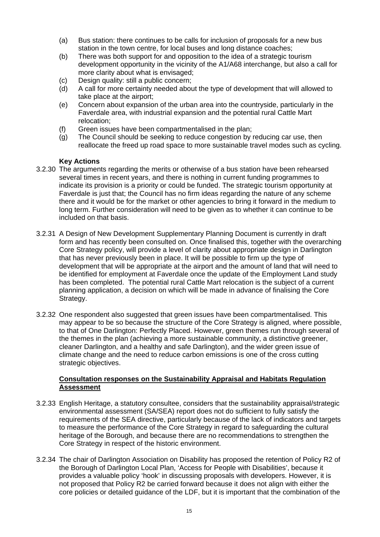- (a) Bus station: there continues to be calls for inclusion of proposals for a new bus station in the town centre, for local buses and long distance coaches;
- (b) There was both support for and opposition to the idea of a strategic tourism development opportunity in the vicinity of the A1/A68 interchange, but also a call for more clarity about what is envisaged;
- (c) Design quality: still a public concern;
- (d) A call for more certainty needed about the type of development that will allowed to take place at the airport;
- (e) Concern about expansion of the urban area into the countryside, particularly in the Faverdale area, with industrial expansion and the potential rural Cattle Mart relocation;
- (f) Green issues have been compartmentalised in the plan;
- (g) The Council should be seeking to reduce congestion by reducing car use, then reallocate the freed up road space to more sustainable travel modes such as cycling.

# **Key Actions**

- 3.2.30 The arguments regarding the merits or otherwise of a bus station have been rehearsed several times in recent years, and there is nothing in current funding programmes to indicate its provision is a priority or could be funded. The strategic tourism opportunity at Faverdale is just that; the Council has no firm ideas regarding the nature of any scheme there and it would be for the market or other agencies to bring it forward in the medium to long term. Further consideration will need to be given as to whether it can continue to be included on that basis.
- 3.2.31 A Design of New Development Supplementary Planning Document is currently in draft form and has recently been consulted on. Once finalised this, together with the overarching Core Strategy policy, will provide a level of clarity about appropriate design in Darlington that has never previously been in place. It will be possible to firm up the type of development that will be appropriate at the airport and the amount of land that will need to be identified for employment at Faverdale once the update of the Employment Land study has been completed. The potential rural Cattle Mart relocation is the subject of a current planning application, a decision on which will be made in advance of finalising the Core Strategy.
- 3.2.32 One respondent also suggested that green issues have been compartmentalised. This may appear to be so because the structure of the Core Strategy is aligned, where possible, to that of One Darlington: Perfectly Placed. However, green themes run through several of the themes in the plan (achieving a more sustainable community, a distinctive greener, cleaner Darlington, and a healthy and safe Darlington), and the wider green issue of climate change and the need to reduce carbon emissions is one of the cross cutting strategic objectives.

# **Consultation responses on the Sustainability Appraisal and Habitats Regulation Assessment**

- 3.2.33 English Heritage, a statutory consultee, considers that the sustainability appraisal/strategic environmental assessment (SA/SEA) report does not do sufficient to fully satisfy the requirements of the SEA directive, particularly because of the lack of indicators and targets to measure the performance of the Core Strategy in regard to safeguarding the cultural heritage of the Borough, and because there are no recommendations to strengthen the Core Strategy in respect of the historic environment.
- 3.2.34 The chair of Darlington Association on Disability has proposed the retention of Policy R2 of the Borough of Darlington Local Plan, 'Access for People with Disabilities', because it provides a valuable policy 'hook' in discussing proposals with developers. However, it is not proposed that Policy R2 be carried forward because it does not align with either the core policies or detailed guidance of the LDF, but it is important that the combination of the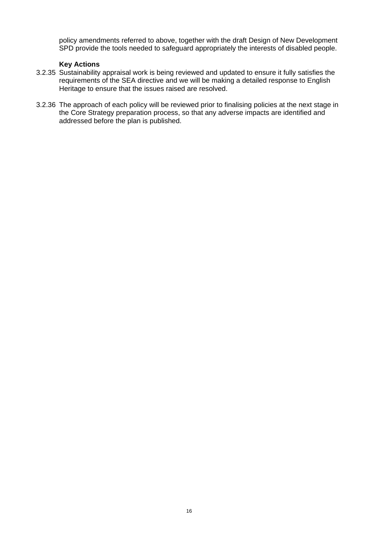policy amendments referred to above, together with the draft Design of New Development SPD provide the tools needed to safeguard appropriately the interests of disabled people.

#### **Key Actions**

- 3.2.35 Sustainability appraisal work is being reviewed and updated to ensure it fully satisfies the requirements of the SEA directive and we will be making a detailed response to English Heritage to ensure that the issues raised are resolved.
- 3.2.36 The approach of each policy will be reviewed prior to finalising policies at the next stage in the Core Strategy preparation process, so that any adverse impacts are identified and addressed before the plan is published.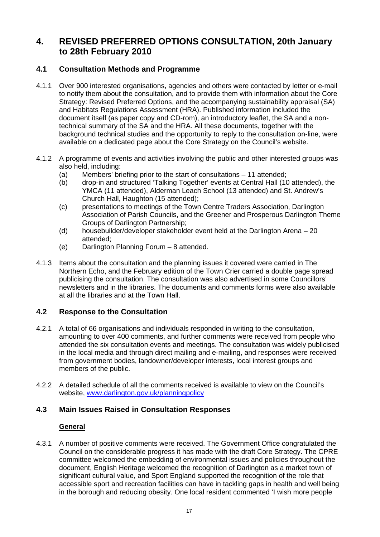# **4. REVISED PREFERRED OPTIONS CONSULTATION, 20th January to 28th February 2010**

# **4.1 Consultation Methods and Programme**

- 4.1.1 Over 900 interested organisations, agencies and others were contacted by letter or e-mail to notify them about the consultation, and to provide them with information about the Core Strategy: Revised Preferred Options, and the accompanying sustainability appraisal (SA) and Habitats Regulations Assessment (HRA). Published information included the document itself (as paper copy and CD-rom), an introductory leaflet, the SA and a nontechnical summary of the SA and the HRA. All these documents, together with the background technical studies and the opportunity to reply to the consultation on-line, were available on a dedicated page about the Core Strategy on the Council's website.
- 4.1.2 A programme of events and activities involving the public and other interested groups was also held, including:
	- (a) Members' briefing prior to the start of consultations 11 attended;
	- (b) drop-in and structured 'Talking Together' events at Central Hall (10 attended), the YMCA (11 attended), Alderman Leach School (13 attended) and St. Andrew's Church Hall, Haughton (15 attended);
	- (c) presentations to meetings of the Town Centre Traders Association, Darlington Association of Parish Councils, and the Greener and Prosperous Darlington Theme Groups of Darlington Partnership;
	- (d) housebuilder/developer stakeholder event held at the Darlington Arena 20 attended;
	- (e) Darlington Planning Forum 8 attended.
- 4.1.3 Items about the consultation and the planning issues it covered were carried in The Northern Echo, and the February edition of the Town Crier carried a double page spread publicising the consultation. The consultation was also advertised in some Councillors' newsletters and in the libraries. The documents and comments forms were also available at all the libraries and at the Town Hall.

# **4.2 Response to the Consultation**

- 4.2.1 A total of 66 organisations and individuals responded in writing to the consultation, amounting to over 400 comments, and further comments were received from people who attended the six consultation events and meetings. The consultation was widely publicised in the local media and through direct mailing and e-mailing, and responses were received from government bodies, landowner/developer interests, local interest groups and members of the public.
- 4.2.2 A detailed schedule of all the comments received is available to view on the Council's website, [www.darlington.gov.uk/planningpolicy](http://www.darlington.gov.uk/planningpolicy)

# **4.3 Main Issues Raised in Consultation Responses**

# **General**

4.3.1 A number of positive comments were received. The Government Office congratulated the Council on the considerable progress it has made with the draft Core Strategy. The CPRE committee welcomed the embedding of environmental issues and policies throughout the document, English Heritage welcomed the recognition of Darlington as a market town of significant cultural value, and Sport England supported the recognition of the role that accessible sport and recreation facilities can have in tackling gaps in health and well being in the borough and reducing obesity. One local resident commented 'I wish more people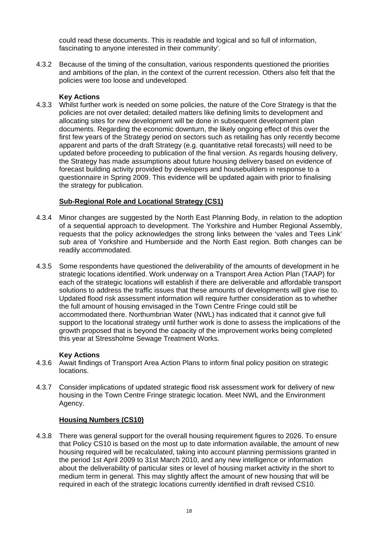could read these documents. This is readable and logical and so full of information, fascinating to anyone interested in their community'.

4.3.2 Because of the timing of the consultation, various respondents questioned the priorities and ambitions of the plan, in the context of the current recession. Others also felt that the policies were too loose and undeveloped.

# **Key Actions**

4.3.3 Whilst further work is needed on some policies, the nature of the Core Strategy is that the policies are not over detailed; detailed matters like defining limits to development and allocating sites for new development will be done in subsequent development plan documents. Regarding the economic downturn, the likely ongoing effect of this over the first few years of the Strategy period on sectors such as retailing has only recently become apparent and parts of the draft Strategy (e.g. quantitative retail forecasts) will need to be updated before proceeding to publication of the final version. As regards housing delivery, the Strategy has made assumptions about future housing delivery based on evidence of forecast building activity provided by developers and housebuilders in response to a questionnaire in Spring 2009. This evidence will be updated again with prior to finalising the strategy for publication.

# **Sub-Regional Role and Locational Strategy (CS1)**

- 4.3.4 Minor changes are suggested by the North East Planning Body, in relation to the adoption of a sequential approach to development. The Yorkshire and Humber Regional Assembly, requests that the policy acknowledges the strong links between the 'vales and Tees Link' sub area of Yorkshire and Humberside and the North East region. Both changes can be readily accommodated.
- 4.3.5 Some respondents have questioned the deliverability of the amounts of development in he strategic locations identified. Work underway on a Transport Area Action Plan (TAAP) for each of the strategic locations will establish if there are deliverable and affordable transport solutions to address the traffic issues that these amounts of developments will give rise to. Updated flood risk assessment information will require further consideration as to whether the full amount of housing envisaged in the Town Centre Fringe could still be accommodated there. Northumbrian Water (NWL) has indicated that it cannot give full support to the locational strategy until further work is done to assess the implications of the growth proposed that is beyond the capacity of the improvement works being completed this year at Stressholme Sewage Treatment Works.

# **Key Actions**

- 4.3.6 Await findings of Transport Area Action Plans to inform final policy position on strategic locations.
- 4.3.7 Consider implications of updated strategic flood risk assessment work for delivery of new housing in the Town Centre Fringe strategic location. Meet NWL and the Environment Agency.

# **Housing Numbers (CS10)**

4.3.8 There was general support for the overall housing requirement figures to 2026. To ensure that Policy CS10 is based on the most up to date information available, the amount of new housing required will be recalculated, taking into account planning permissions granted in the period 1st April 2009 to 31st March 2010, and any new intelligence or information about the deliverability of particular sites or level of housing market activity in the short to medium term in general. This may slightly affect the amount of new housing that will be required in each of the strategic locations currently identified in draft revised CS10.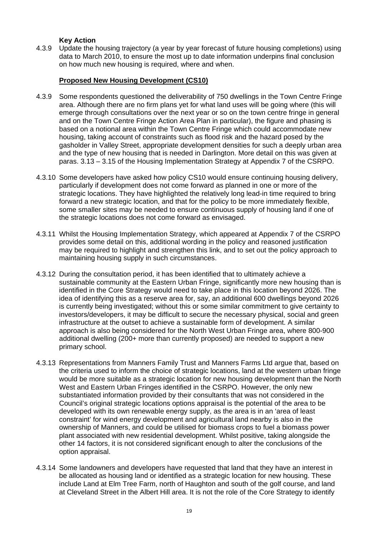# **Key Action**

4.3.9 Update the housing trajectory (a year by year forecast of future housing completions) using data to March 2010, to ensure the most up to date information underpins final conclusion on how much new housing is required, where and when.

# **Proposed New Housing Development (CS10)**

- 4.3.9 Some respondents questioned the deliverability of 750 dwellings in the Town Centre Fringe area. Although there are no firm plans yet for what land uses will be going where (this will emerge through consultations over the next year or so on the town centre fringe in general and on the Town Centre Fringe Action Area Plan in particular), the figure and phasing is based on a notional area within the Town Centre Fringe which could accommodate new housing, taking account of constraints such as flood risk and the hazard posed by the gasholder in Valley Street, appropriate development densities for such a deeply urban area and the type of new housing that is needed in Darlington. More detail on this was given at paras. 3.13 – 3.15 of the Housing Implementation Strategy at Appendix 7 of the CSRPO.
- 4.3.10 Some developers have asked how policy CS10 would ensure continuing housing delivery, particularly if development does not come forward as planned in one or more of the strategic locations. They have highlighted the relatively long lead-in time required to bring forward a new strategic location, and that for the policy to be more immediately flexible, some smaller sites may be needed to ensure continuous supply of housing land if one of the strategic locations does not come forward as envisaged.
- 4.3.11 Whilst the Housing Implementation Strategy, which appeared at Appendix 7 of the CSRPO provides some detail on this, additional wording in the policy and reasoned justification may be required to highlight and strengthen this link, and to set out the policy approach to maintaining housing supply in such circumstances.
- 4.3.12 During the consultation period, it has been identified that to ultimately achieve a sustainable community at the Eastern Urban Fringe, significantly more new housing than is identified in the Core Strategy would need to take place in this location beyond 2026. The idea of identifying this as a reserve area for, say, an additional 600 dwellings beyond 2026 is currently being investigated; without this or some similar commitment to give certainty to investors/developers, it may be difficult to secure the necessary physical, social and green infrastructure at the outset to achieve a sustainable form of development. A similar approach is also being considered for the North West Urban Fringe area, where 800-900 additional dwelling (200+ more than currently proposed) are needed to support a new primary school.
- 4.3.13 Representations from Manners Family Trust and Manners Farms Ltd argue that, based on the criteria used to inform the choice of strategic locations, land at the western urban fringe would be more suitable as a strategic location for new housing development than the North West and Eastern Urban Fringes identified in the CSRPO. However, the only new substantiated information provided by their consultants that was not considered in the Council's original strategic locations options appraisal is the potential of the area to be developed with its own renewable energy supply, as the area is in an 'area of least constraint' for wind energy development and agricultural land nearby is also in the ownership of Manners, and could be utilised for biomass crops to fuel a biomass power plant associated with new residential development. Whilst positive, taking alongside the other 14 factors, it is not considered significant enough to alter the conclusions of the option appraisal.
- 4.3.14 Some landowners and developers have requested that land that they have an interest in be allocated as housing land or identified as a strategic location for new housing. These include Land at Elm Tree Farm, north of Haughton and south of the golf course, and land at Cleveland Street in the Albert Hill area. It is not the role of the Core Strategy to identify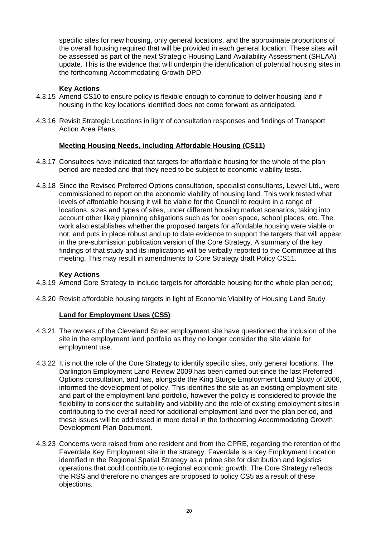specific sites for new housing, only general locations, and the approximate proportions of the overall housing required that will be provided in each general location. These sites will be assessed as part of the next Strategic Housing Land Availability Assessment (SHLAA) update. This is the evidence that will underpin the identification of potential housing sites in the forthcoming Accommodating Growth DPD.

# **Key Actions**

- 4.3.15 Amend CS10 to ensure policy is flexible enough to continue to deliver housing land if housing in the key locations identified does not come forward as anticipated.
- 4.3.16 Revisit Strategic Locations in light of consultation responses and findings of Transport Action Area Plans.

#### **Meeting Housing Needs, including Affordable Housing (CS11)**

- 4.3.17 Consultees have indicated that targets for affordable housing for the whole of the plan period are needed and that they need to be subject to economic viability tests.
- 4.3.18 Since the Revised Preferred Options consultation, specialist consultants, Levvel Ltd., were commissioned to report on the economic viability of housing land. This work tested what levels of affordable housing it will be viable for the Council to require in a range of locations, sizes and types of sites, under different housing market scenarios, taking into account other likely planning obligations such as for open space, school places, etc. The work also establishes whether the proposed targets for affordable housing were viable or not, and puts in place robust and up to date evidence to support the targets that will appear in the pre-submission publication version of the Core Strategy. A summary of the key findings of that study and its implications will be verbally reported to the Committee at this meeting. This may result in amendments to Core Strategy draft Policy CS11.

#### **Key Actions**

- 4.3.19 Amend Core Strategy to include targets for affordable housing for the whole plan period;
- 4.3.20 Revisit affordable housing targets in light of Economic Viability of Housing Land Study

# **Land for Employment Uses (CS5)**

- 4.3.21 The owners of the Cleveland Street employment site have questioned the inclusion of the site in the employment land portfolio as they no longer consider the site viable for employment use.
- 4.3.22 It is not the role of the Core Strategy to identify specific sites, only general locations. The Darlington Employment Land Review 2009 has been carried out since the last Preferred Options consultation, and has, alongside the King Sturge Employment Land Study of 2006, informed the development of policy. This identifies the site as an existing employment site and part of the employment land portfolio, however the policy is considered to provide the flexibility to consider the suitability and viability and the role of existing employment sites in contributing to the overall need for additional employment land over the plan period, and these issues will be addressed in more detail in the forthcoming Accommodating Growth Development Plan Document.
- 4.3.23 Concerns were raised from one resident and from the CPRE, regarding the retention of the Faverdale Key Employment site in the strategy. Faverdale is a Key Employment Location identified in the Regional Spatial Strategy as a prime site for distribution and logistics operations that could contribute to regional economic growth. The Core Strategy reflects the RSS and therefore no changes are proposed to policy CS5 as a result of these objections.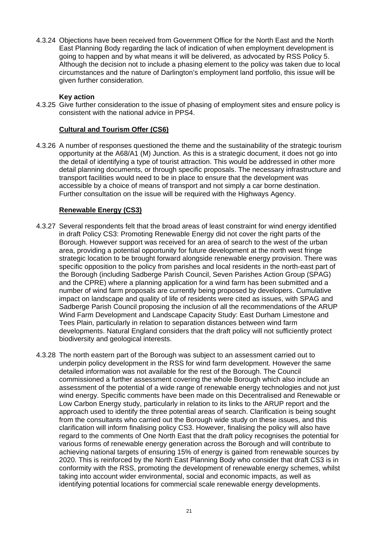4.3.24 Objections have been received from Government Office for the North East and the North East Planning Body regarding the lack of indication of when employment development is going to happen and by what means it will be delivered, as advocated by RSS Policy 5. Although the decision not to include a phasing element to the policy was taken due to local circumstances and the nature of Darlington's employment land portfolio, this issue will be given further consideration.

# **Key action**

4.3.25 Give further consideration to the issue of phasing of employment sites and ensure policy is consistent with the national advice in PPS4.

# **Cultural and Tourism Offer (CS6)**

4.3.26 A number of responses questioned the theme and the sustainability of the strategic tourism opportunity at the A68/A1 (M) Junction. As this is a strategic document, it does not go into the detail of identifying a type of tourist attraction. This would be addressed in other more detail planning documents, or through specific proposals. The necessary infrastructure and transport facilities would need to be in place to ensure that the development was accessible by a choice of means of transport and not simply a car borne destination. Further consultation on the issue will be required with the Highways Agency.

# **Renewable Energy (CS3)**

- 4.3.27 Several respondents felt that the broad areas of least constraint for wind energy identified in draft Policy CS3: Promoting Renewable Energy did not cover the right parts of the Borough. However support was received for an area of search to the west of the urban area, providing a potential opportunity for future development at the north west fringe strategic location to be brought forward alongside renewable energy provision. There was specific opposition to the policy from parishes and local residents in the north-east part of the Borough (including Sadberge Parish Council, Seven Parishes Action Group (SPAG) and the CPRE) where a planning application for a wind farm has been submitted and a number of wind farm proposals are currently being proposed by developers. Cumulative impact on landscape and quality of life of residents were cited as issues, with SPAG and Sadberge Parish Council proposing the inclusion of all the recommendations of the ARUP Wind Farm Development and Landscape Capacity Study: East Durham Limestone and Tees Plain, particularly in relation to separation distances between wind farm developments. Natural England considers that the draft policy will not sufficiently protect biodiversity and geological interests.
- 4.3.28 The north eastern part of the Borough was subject to an assessment carried out to underpin policy development in the RSS for wind farm development. However the same detailed information was not available for the rest of the Borough. The Council commissioned a further assessment covering the whole Borough which also include an assessment of the potential of a wide range of renewable energy technologies and not just wind energy. Specific comments have been made on this Decentralised and Renewable or Low Carbon Energy study, particularly in relation to its links to the ARUP report and the approach used to identify the three potential areas of search. Clarification is being sought from the consultants who carried out the Borough wide study on these issues, and this clarification will inform finalising policy CS3. However, finalising the policy will also have regard to the comments of One North East that the draft policy recognises the potential for various forms of renewable energy generation across the Borough and will contribute to achieving national targets of ensuring 15% of energy is gained from renewable sources by 2020. This is reinforced by the North East Planning Body who consider that draft CS3 is in conformity with the RSS, promoting the development of renewable energy schemes, whilst taking into account wider environmental, social and economic impacts, as well as identifying potential locations for commercial scale renewable energy developments.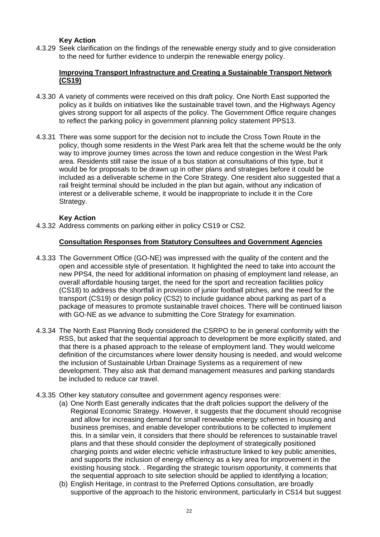# **Key Action**

4.3.29 Seek clarification on the findings of the renewable energy study and to give consideration to the need for further evidence to underpin the renewable energy policy.

# **Improving Transport Infrastructure and Creating a Sustainable Transport Network (CS19)**

- 4.3.30 A variety of comments were received on this draft policy. One North East supported the policy as it builds on initiatives like the sustainable travel town, and the Highways Agency gives strong support for all aspects of the policy. The Government Office require changes to reflect the parking policy in government planning policy statement PPS13.
- 4.3.31 There was some support for the decision not to include the Cross Town Route in the policy, though some residents in the West Park area felt that the scheme would be the only way to improve journey times across the town and reduce congestion in the West Park area. Residents still raise the issue of a bus station at consultations of this type, but it would be for proposals to be drawn up in other plans and strategies before it could be included as a deliverable scheme in the Core Strategy. One resident also suggested that a rail freight terminal should be included in the plan but again, without any indication of interest or a deliverable scheme, it would be inappropriate to include it in the Core Strategy.

#### **Key Action**

4.3.32 Address comments on parking either in policy CS19 or CS2.

#### **Consultation Responses from Statutory Consultees and Government Agencies**

- 4.3.33 The Government Office (GO-NE) was impressed with the quality of the content and the open and accessible style of presentation. It highlighted the need to take into account the new PPS4, the need for additional information on phasing of employment land release, an overall affordable housing target, the need for the sport and recreation facilities policy (CS18) to address the shortfall in provision of junior football pitches, and the need for the transport (CS19) or design policy (CS2) to include guidance about parking as part of a package of measures to promote sustainable travel choices. There will be continued liaison with GO-NE as we advance to submitting the Core Strategy for examination.
- 4.3.34 The North East Planning Body considered the CSRPO to be in general conformity with the RSS, but asked that the sequential approach to development be more explicitly stated, and that there is a phased approach to the release of employment land. They would welcome definition of the circumstances where lower density housing is needed, and would welcome the inclusion of Sustainable Urban Drainage Systems as a requirement of new development. They also ask that demand management measures and parking standards be included to reduce car travel.
- 4.3.35 Other key statutory consultee and government agency responses were:
	- (a) One North East generally indicates that the draft policies support the delivery of the Regional Economic Strategy. However, it suggests that the document should recognise and allow for increasing demand for small renewable energy schemes in housing and business premises, and enable developer contributions to be collected to implement this. In a similar vein, it considers that there should be references to sustainable travel plans and that these should consider the deployment of strategically positioned charging points and wider electric vehicle infrastructure linked to key public amenities, and supports the inclusion of energy efficiency as a key area for improvement in the existing housing stock. . Regarding the strategic tourism opportunity, it comments that the sequential approach to site selection should be applied to identifying a location;
	- (b) English Heritage, in contrast to the Preferred Options consultation, are broadly supportive of the approach to the historic environment, particularly in CS14 but suggest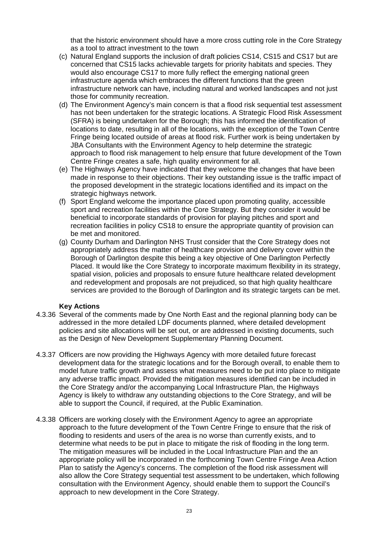that the historic environment should have a more cross cutting role in the Core Strategy as a tool to attract investment to the town

- (c) Natural England supports the inclusion of draft policies CS14, CS15 and CS17 but are concerned that CS15 lacks achievable targets for priority habitats and species. They would also encourage CS17 to more fully reflect the emerging national green infrastructure agenda which embraces the different functions that the green infrastructure network can have, including natural and worked landscapes and not just those for community recreation.
- (d) The Environment Agency's main concern is that a flood risk sequential test assessment has not been undertaken for the strategic locations. A Strategic Flood Risk Assessment (SFRA) is being undertaken for the Borough; this has informed the identification of locations to date, resulting in all of the locations, with the exception of the Town Centre Fringe being located outside of areas at flood risk. Further work is being undertaken by JBA Consultants with the Environment Agency to help determine the strategic approach to flood risk management to help ensure that future development of the Town Centre Fringe creates a safe, high quality environment for all.
- (e) The Highways Agency have indicated that they welcome the changes that have been made in response to their objections. Their key outstanding issue is the traffic impact of the proposed development in the strategic locations identified and its impact on the strategic highways network.
- (f) Sport England welcome the importance placed upon promoting quality, accessible sport and recreation facilities within the Core Strategy. But they consider it would be beneficial to incorporate standards of provision for playing pitches and sport and recreation facilities in policy CS18 to ensure the appropriate quantity of provision can be met and monitored.
- (g) County Durham and Darlington NHS Trust consider that the Core Strategy does not appropriately address the matter of healthcare provision and delivery cover within the Borough of Darlington despite this being a key objective of One Darlington Perfectly Placed. It would like the Core Strategy to incorporate maximum flexibility in its strategy, spatial vision, policies and proposals to ensure future healthcare related development and redevelopment and proposals are not prejudiced, so that high quality healthcare services are provided to the Borough of Darlington and its strategic targets can be met.

# **Key Actions**

- 4.3.36 Several of the comments made by One North East and the regional planning body can be addressed in the more detailed LDF documents planned, where detailed development policies and site allocations will be set out, or are addressed in existing documents, such as the Design of New Development Supplementary Planning Document.
- 4.3.37 Officers are now providing the Highways Agency with more detailed future forecast development data for the strategic locations and for the Borough overall, to enable them to model future traffic growth and assess what measures need to be put into place to mitigate any adverse traffic impact. Provided the mitigation measures identified can be included in the Core Strategy and/or the accompanying Local Infrastructure Plan, the Highways Agency is likely to withdraw any outstanding objections to the Core Strategy, and will be able to support the Council, if required, at the Public Examination.
- 4.3.38 Officers are working closely with the Environment Agency to agree an appropriate approach to the future development of the Town Centre Fringe to ensure that the risk of flooding to residents and users of the area is no worse than currently exists, and to determine what needs to be put in place to mitigate the risk of flooding in the long term. The mitigation measures will be included in the Local Infrastructure Plan and the an appropriate policy will be incorporated in the forthcoming Town Centre Fringe Area Action Plan to satisfy the Agency's concerns. The completion of the flood risk assessment will also allow the Core Strategy sequential test assessment to be undertaken, which following consultation with the Environment Agency, should enable them to support the Council's approach to new development in the Core Strategy.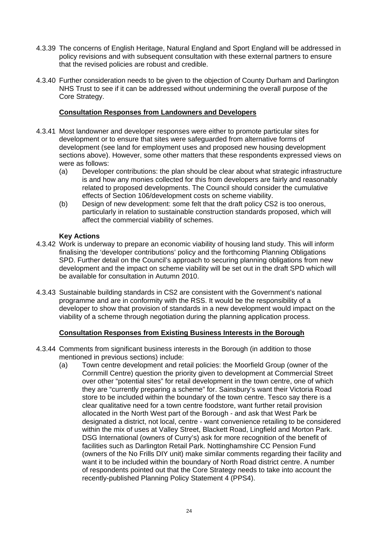- 4.3.39 The concerns of English Heritage, Natural England and Sport England will be addressed in policy revisions and with subsequent consultation with these external partners to ensure that the revised policies are robust and credible.
- 4.3.40 Further consideration needs to be given to the objection of County Durham and Darlington NHS Trust to see if it can be addressed without undermining the overall purpose of the Core Strategy.

#### **Consultation Responses from Landowners and Developers**

- 4.3.41 Most landowner and developer responses were either to promote particular sites for development or to ensure that sites were safeguarded from alternative forms of development (see land for employment uses and proposed new housing development sections above). However, some other matters that these respondents expressed views on were as follows:
	- (a) Developer contributions: the plan should be clear about what strategic infrastructure is and how any monies collected for this from developers are fairly and reasonably related to proposed developments. The Council should consider the cumulative effects of Section 106/development costs on scheme viability.
	- (b) Design of new development: some felt that the draft policy CS2 is too onerous, particularly in relation to sustainable construction standards proposed, which will affect the commercial viability of schemes.

#### **Key Actions**

- 4.3.42 Work is underway to prepare an economic viability of housing land study. This will inform finalising the 'developer contributions' policy and the forthcoming Planning Obligations SPD. Further detail on the Council's approach to securing planning obligations from new development and the impact on scheme viability will be set out in the draft SPD which will be available for consultation in Autumn 2010.
- 4.3.43 Sustainable building standards in CS2 are consistent with the Government's national programme and are in conformity with the RSS. It would be the responsibility of a developer to show that provision of standards in a new development would impact on the viability of a scheme through negotiation during the planning application process.

# **Consultation Responses from Existing Business Interests in the Borough**

- 4.3.44 Comments from significant business interests in the Borough (in addition to those mentioned in previous sections) include:
	- (a) Town centre development and retail policies: the Moorfield Group (owner of the Cornmill Centre) question the priority given to development at Commercial Street over other "potential sites" for retail development in the town centre, one of which they are "currently preparing a scheme" for. Sainsbury's want their Victoria Road store to be included within the boundary of the town centre. Tesco say there is a clear qualitative need for a town centre foodstore, want further retail provision allocated in the North West part of the Borough - and ask that West Park be designated a district, not local, centre - want convenience retailing to be considered within the mix of uses at Valley Street, Blackett Road, Lingfield and Morton Park. DSG International (owners of Curry's) ask for more recognition of the benefit of facilities such as Darlington Retail Park. Nottinghamshire CC Pension Fund (owners of the No Frills DIY unit) make similar comments regarding their facility and want it to be included within the boundary of North Road district centre. A number of respondents pointed out that the Core Strategy needs to take into account the recently-published Planning Policy Statement 4 (PPS4).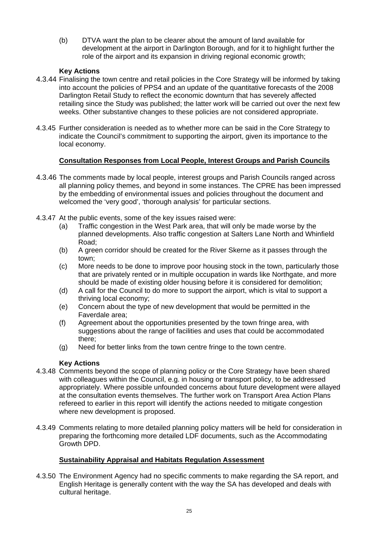(b) DTVA want the plan to be clearer about the amount of land available for development at the airport in Darlington Borough, and for it to highlight further the role of the airport and its expansion in driving regional economic growth;

# **Key Actions**

- 4.3.44 Finalising the town centre and retail policies in the Core Strategy will be informed by taking into account the policies of PPS4 and an update of the quantitative forecasts of the 2008 Darlington Retail Study to reflect the economic downturn that has severely affected retailing since the Study was published; the latter work will be carried out over the next few weeks. Other substantive changes to these policies are not considered appropriate.
- 4.3.45 Further consideration is needed as to whether more can be said in the Core Strategy to indicate the Council's commitment to supporting the airport, given its importance to the local economy.

# **Consultation Responses from Local People, Interest Groups and Parish Councils**

- 4.3.46 The comments made by local people, interest groups and Parish Councils ranged across all planning policy themes, and beyond in some instances. The CPRE has been impressed by the embedding of environmental issues and policies throughout the document and welcomed the 'very good', 'thorough analysis' for particular sections.
- 4.3.47 At the public events, some of the key issues raised were:
	- (a) Traffic congestion in the West Park area, that will only be made worse by the planned developments. Also traffic congestion at Salters Lane North and Whinfield Road;
	- (b) A green corridor should be created for the River Skerne as it passes through the town;
	- (c) More needs to be done to improve poor housing stock in the town, particularly those that are privately rented or in multiple occupation in wards like Northgate, and more should be made of existing older housing before it is considered for demolition;
	- (d) A call for the Council to do more to support the airport, which is vital to support a thriving local economy;
	- (e) Concern about the type of new development that would be permitted in the Faverdale area;
	- (f) Agreement about the opportunities presented by the town fringe area, with suggestions about the range of facilities and uses that could be accommodated there;
	- (g) Need for better links from the town centre fringe to the town centre.

# **Key Actions**

- 4.3.48 Comments beyond the scope of planning policy or the Core Strategy have been shared with colleagues within the Council, e.g. in housing or transport policy, to be addressed appropriately. Where possible unfounded concerns about future development were allayed at the consultation events themselves. The further work on Transport Area Action Plans refereed to earlier in this report will identify the actions needed to mitigate congestion where new development is proposed.
- 4.3.49 Comments relating to more detailed planning policy matters will be held for consideration in preparing the forthcoming more detailed LDF documents, such as the Accommodating Growth DPD.

# **Sustainability Appraisal and Habitats Regulation Assessment**

4.3.50 The Environment Agency had no specific comments to make regarding the SA report, and English Heritage is generally content with the way the SA has developed and deals with cultural heritage.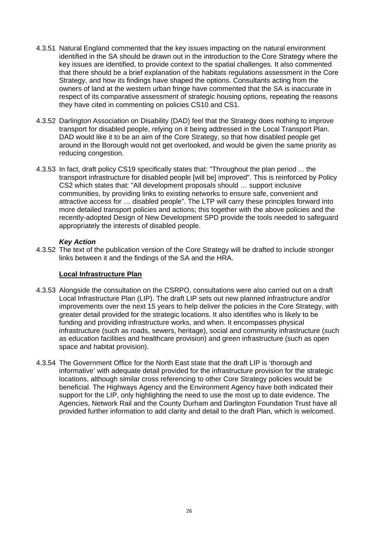- 4.3.51 Natural England commented that the key issues impacting on the natural environment identified in the SA should be drawn out in the introduction to the Core Strategy where the key issues are identified, to provide context to the spatial challenges. It also commented that there should be a brief explanation of the habitats regulations assessment in the Core Strategy, and how its findings have shaped the options. Consultants acting from the owners of land at the western urban fringe have commented that the SA is inaccurate in respect of its comparative assessment of strategic housing options, repeating the reasons they have cited in commenting on policies CS10 and CS1.
- 4.3.52 Darlington Association on Disability (DAD) feel that the Strategy does nothing to improve transport for disabled people, relying on it being addressed in the Local Transport Plan. DAD would like it to be an aim of the Core Strategy, so that how disabled people get around in the Borough would not get overlooked, and would be given the same priority as reducing congestion.
- 4.3.53 In fact, draft policy CS19 specifically states that: "Throughout the plan period ... the transport infrastructure for disabled people [will be] improved". This is reinforced by Policy CS2 which states that: "All development proposals should … support inclusive communities, by providing links to existing networks to ensure safe, convenient and attractive access for … disabled people". The LTP will carry these principles forward into more detailed transport policies and actions; this together with the above policies and the recently-adopted Design of New Development SPD provide the tools needed to safeguard appropriately the interests of disabled people.

# *Key Action*

4.3.52 The text of the publication version of the Core Strategy will be drafted to include stronger links between it and the findings of the SA and the HRA.

# **Local Infrastructure Plan**

- 4.3.53 Alongside the consultation on the CSRPO, consultations were also carried out on a draft Local Infrastructure Plan (LIP). The draft LIP sets out new planned infrastructure and/or improvements over the next 15 years to help deliver the policies in the Core Strategy, with greater detail provided for the strategic locations. It also identifies who is likely to be funding and providing infrastructure works, and when. It encompasses physical infrastructure (such as roads, sewers, heritage), social and community infrastructure (such as education facilities and healthcare provision) and green infrastructure (such as open space and habitat provision).
- 4.3.54 The Government Office for the North East state that the draft LIP is 'thorough and informative' with adequate detail provided for the infrastructure provision for the strategic locations, although similar cross referencing to other Core Strategy policies would be beneficial. The Highways Agency and the Environment Agency have both indicated their support for the LIP, only highlighting the need to use the most up to date evidence. The Agencies, Network Rail and the County Durham and Darlington Foundation Trust have all provided further information to add clarity and detail to the draft Plan, which is welcomed.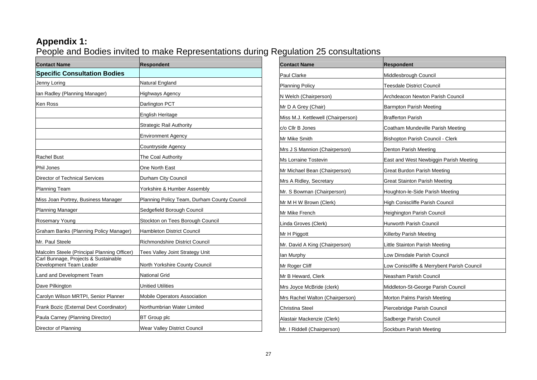# **Appendix 1:**

People and Bodies invited to make Representations during Regulation 25 consultations

| <b>Contact Name</b>                                             | <b>Respondent</b>                           |
|-----------------------------------------------------------------|---------------------------------------------|
| <b>Specific Consultation Bodies</b>                             |                                             |
| Jenny Loring                                                    | Natural England                             |
| Ian Radley (Planning Manager)                                   | <b>Highways Agency</b>                      |
| Ken Ross                                                        | Darlington PCT                              |
|                                                                 | English Heritage                            |
|                                                                 | <b>Strategic Rail Authority</b>             |
|                                                                 | <b>Environment Agency</b>                   |
|                                                                 | Countryside Agency                          |
| Rachel Bust                                                     | The Coal Authority                          |
| <b>Phil Jones</b>                                               | One North East                              |
| Director of Technical Services                                  | Durham City Council                         |
| <b>Planning Team</b>                                            | Yorkshire & Humber Assembly                 |
| Miss Joan Portrey, Business Manager                             | Planning Policy Team, Durham County Council |
| <b>Planning Manager</b>                                         | Sedgefield Borough Council                  |
| Rosemary Young                                                  | Stockton on Tees Borough Council            |
| Graham Banks (Planning Policy Manager)                          | <b>Hambleton District Council</b>           |
| Mr. Paul Steele                                                 | Richmondshire District Council              |
| Malcolm Steele (Principal Planning Officer)                     | Tees Valley Joint Strategy Unit             |
| Carl Bunnage, Projects & Sustainable<br>Development Team Leader | North Yorkshire County Council              |
| Land and Development Team                                       | <b>National Grid</b>                        |
| Dave Pilkington                                                 | <b>Unitied Utilities</b>                    |
| Carolyn Wilson MRTPI, Senior Planner                            | <b>Mobile Operators Association</b>         |
| Frank Bozic (External Devt Coordinator)                         | Northumbrian Water Limited                  |
| Paula Carney (Planning Director)                                | <b>BT</b> Group plc                         |
| Director of Planning                                            | Wear Valley District Council                |

| <b>Contact Name</b>                | <b>Respondent</b>                          |
|------------------------------------|--------------------------------------------|
| Paul Clarke                        | Middlesbrough Council                      |
| <b>Planning Policy</b>             | Teesdale District Council                  |
| N Welch (Chairperson)              | Archdeacon Newton Parish Council           |
| Mr D A Grey (Chair)                | <b>Barmpton Parish Meeting</b>             |
| Miss M.J. Kettlewell (Chairperson) | <b>Brafferton Parish</b>                   |
| c/o Cllr B Jones                   | Coatham Mundeville Parish Meeting          |
| Mr Mike Smith                      | Bishopton Parish Council - Clerk           |
| Mrs J S Mannion (Chairperson)      | Denton Parish Meeting                      |
| Ms Lorraine Tostevin               | East and West Newbiggin Parish Meeting     |
| Mr Michael Bean (Chairperson)      | Great Burdon Parish Meeting                |
| Mrs A Ridley, Secretary            | <b>Great Stainton Parish Meeting</b>       |
| Mr. S Bowman (Chairperson)         | Houghton-le-Side Parish Meeting            |
| Mr M H W Brown (Clerk)             | High Coniscliffe Parish Council            |
| Mr Mike French                     | Heighington Parish Council                 |
| Linda Groves (Clerk)               | Hurworth Parish Council                    |
| Mr H Piggott                       | Killerby Parish Meeting                    |
| Mr. David A King (Chairperson)     | Little Stainton Parish Meeting             |
| lan Murphy                         | Low Dinsdale Parish Council                |
| Mr Roger Cliff                     | Low Coniscliffe & Merrybent Parish Council |
| Mr B Heward, Clerk                 | Neasham Parish Council                     |
| Mrs Joyce McBride (clerk)          | Middleton-St-George Parish Council         |
| Mrs Rachel Walton (Chairperson)    | Morton Palms Parish Meeting                |
| Christina Steel                    | Piercebridge Parish Council                |
| Alastair Mackenzie (Clerk)         | Sadberge Parish Council                    |
| Mr. I Riddell (Chairperson)        | Sockburn Parish Meeting                    |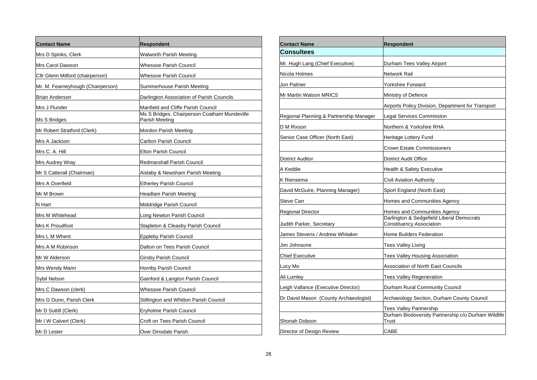| <b>Contact Name</b>               | <b>Respondent</b>                                              |
|-----------------------------------|----------------------------------------------------------------|
| Mrs D Spinks, Clerk               | Walworth Parish Meeting                                        |
| Mrs Carol Dawson                  | Whessoe Parish Council                                         |
| Cllr Glenn Mitford (chairperson)  | <b>Whessoe Parish Council</b>                                  |
| Mr. M. Fearneyhough (Chairperson) | Summerhouse Parish Meeting                                     |
| Brian Anderson                    | Darlington Association of Parish Councils                      |
| Mrs J Flunder                     | Manfield and Cliffe Parish Council                             |
| Ms S Bridges                      | Ms S Bridges, Chairperson Coatham Mundeville<br>Parish Meeting |
| Mr Robert Stratford (Clerk)       | Mordon Parish Meeting                                          |
| Mrs A Jackson                     | <b>Carlton Parish Council</b>                                  |
| Mrs C. A. Hill                    | <b>Elton Parish Council</b>                                    |
| Mrs Audrey Wray                   | <b>Redmarshall Parish Council</b>                              |
| Mr S Catterall (Chairman)         | Aislaby & Newsham Parish Meeting                               |
| Mrs A Overfield                   | <b>Etherley Parish Council</b>                                 |
| Mr M Brown                        | Headlam Parish Meeting                                         |
| N Hart                            | Middridge Parish Council                                       |
| Mrs M Whitehead                   | Long Newton Parish Council                                     |
| Mrs K Proudfoot                   | Stapleton & Cleasby Parish Council                             |
| Mrs L M Whent                     | <b>Eppleby Parish Council</b>                                  |
| Mrs A M Robinson                  | Dalton on Tees Parish Council                                  |
| Mr W Alderson                     | Girsby Parish Council                                          |
| Mrs Wendy Mann                    | Hornby Parish Council                                          |
| Sybil Nelson                      | Gainford & Langton Parish Council                              |
| Mrs C Dawson (clerk)              | Whessoe Parish Council                                         |
| Mrs G Dunn, Parish Clerk          | Stillington and Whitton Parish Council                         |
| Mr D Suttill (Clerk)              | Eryholme Parish Council                                        |
| Mr I W Calvert (Clerk)            | Croft on Tees Parish Council                                   |
| Mr D Lester                       | Over Dinsdale Parish                                           |

| <b>Contact Name</b>                     | <b>Respondent</b>                                                            |
|-----------------------------------------|------------------------------------------------------------------------------|
| <b>Consultees</b>                       |                                                                              |
| Mr. Hugh Lang (Chief Executive)         | Durham Tees Valley Airport                                                   |
| Nicola Holmes                           | Network Rail                                                                 |
| Jon Palmer                              | Yorkshire Forward                                                            |
| <b>Mr Martin Watson MRICS</b>           | Ministry of Defence                                                          |
|                                         | Airports Policy Division, Department for Transport                           |
| Regional Planning & Partnership Manager | Legal Services Commission                                                    |
| D M Rixson                              | Northern & Yorkshire RHA                                                     |
| Senior Case Officer (North East)        | Heritage Lottery Fund                                                        |
|                                         | Crown Estate Commissioners                                                   |
| <b>District Auditor</b>                 | District Audit Office                                                        |
| A Keddie                                | Health & Safety Executive                                                    |
| K Riensema                              | Civil Aviation Authority                                                     |
| David McGuire, Planning Manager)        | Sport England (North East)                                                   |
| Steve Carr                              | Homes and Communities Agency                                                 |
| Regional Director                       | Homes and Communities Agency                                                 |
| Judith Parker, Secretary                | Darlington & Sedgefield Liberal Democrats<br><b>Constituency Association</b> |
| James Stevens / Andrew Whitaker         | <b>Home Builders Federation</b>                                              |
| Jim Johnsone                            | Tees Valley Living                                                           |
| <b>Chief Executive</b>                  | Tees Valley Housing Association                                              |
| Lucy Mo                                 | Association of North East Councils                                           |
| Ali Lumley                              | <b>Tees Valley Regeneration</b>                                              |
| Leigh Vallance (Executive Director)     | Durham Rural Community Council                                               |
| Dr David Mason (County Archaeologist)   | Archaeology Section, Durham County Council                                   |
|                                         | <b>Tees Valley Partnership</b>                                               |
| Shonah Dobson                           | Durham Biodoversity Partnership c/o Durham Wildlife<br>Trust                 |
| Director of Design Review               | CABE                                                                         |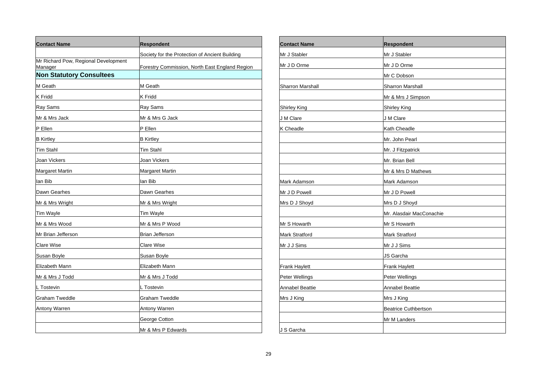| <b>Contact Name</b>                             | <b>Respondent</b>                              |
|-------------------------------------------------|------------------------------------------------|
|                                                 | Society for the Protection of Ancient Building |
| Mr Richard Pow, Regional Development<br>Manager | Forestry Commission, North East England Region |
| <b>Non Statutory Consultees</b>                 |                                                |
| M Geath                                         | M Geath                                        |
| <b>K</b> Fridd                                  | <b>K</b> Fridd                                 |
| Ray Sams                                        | Ray Sams                                       |
| Mr & Mrs Jack                                   | Mr & Mrs G Jack                                |
| P Ellen                                         | P Ellen                                        |
| <b>B</b> Kirtley                                | <b>B</b> Kirtley                               |
| Tim Stahl                                       | <b>Tim Stahl</b>                               |
| Joan Vickers                                    | Joan Vickers                                   |
| Margaret Martin                                 | Margaret Martin                                |
| lan Bib                                         | lan Bib                                        |
| Dawn Gearhes                                    | Dawn Gearhes                                   |
| Mr & Mrs Wright                                 | Mr & Mrs Wright                                |
| Tim Wayle                                       | Tim Wayle                                      |
| Mr & Mrs Wood                                   | Mr & Mrs P Wood                                |
| Mr Brian Jefferson                              | <b>Brian Jefferson</b>                         |
| Clare Wise                                      | Clare Wise                                     |
| Susan Boyle                                     | Susan Boyle                                    |
| Elizabeth Mann                                  | Elizabeth Mann                                 |
| Mr & Mrs J Todd                                 | Mr & Mrs J Todd                                |
| L Tostevin                                      | L Tostevin                                     |
| <b>Graham Tweddle</b>                           | <b>Graham Tweddle</b>                          |
| Antony Warren                                   | Antony Warren                                  |
|                                                 | George Cotton                                  |
|                                                 | Mr & Mrs P Edwards                             |

| <b>Contact Name</b>     | <b>Respondent</b>           |
|-------------------------|-----------------------------|
| Mr J Stabler            | Mr J Stabler                |
| Mr J D Orme             | Mr J D Orme                 |
|                         | Mr C Dobson                 |
| <b>Sharron Marshall</b> | <b>Sharron Marshall</b>     |
|                         | Mr & Mrs J Simpson          |
| <b>Shirley King</b>     | <b>Shirley King</b>         |
| J M Clare               | J M Clare                   |
| K Cheadle               | Kath Cheadle                |
|                         | Mr. John Pearl              |
|                         | Mr. J Fitzpatrick           |
|                         | Mr. Brian Bell              |
|                         | Mr & Mrs D Mathews          |
| Mark Adamson            | Mark Adamson                |
| Mr J D Powell           | Mr J D Powell               |
| Mrs D J Shoyd           | Mrs D J Shoyd               |
|                         | Mr. Alasdair MacConachie    |
| Mr S Howarth            | Mr S Howarth                |
| <b>Mark Stratford</b>   | <b>Mark Stratford</b>       |
| Mr J J Sims             | Mr J J Sims                 |
|                         | JS Garcha                   |
| <b>Frank Haylett</b>    | <b>Frank Haylett</b>        |
| Peter Wellings          | Peter Wellings              |
| <b>Annabel Beattie</b>  | <b>Annabel Beattie</b>      |
| Mrs J King              | Mrs J King                  |
|                         | <b>Beatrice Cuthbertson</b> |
|                         | Mr M Landers                |
| J S Garcha              |                             |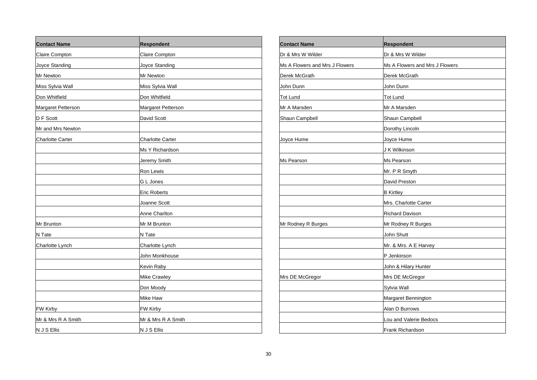| <b>Contact Name</b>     | Respondent              |
|-------------------------|-------------------------|
| Claire Compton          | Claire Compton          |
| Joyce Standing          | Joyce Standing          |
| Mr Newton               | Mr Newton               |
| Miss Sylvia Wall        | Miss Sylvia Wall        |
| Don Whitfield           | Don Whitfield           |
| Margaret Petterson      | Margaret Petterson      |
| D F Scott               | David Scott             |
| Mr and Mrs Newton       |                         |
| <b>Charlotte Carter</b> | <b>Charlotte Carter</b> |
|                         | Ms Y Richardson         |
|                         | Jeremy Smith            |
|                         | Ron Lewis               |
|                         | G L Jones               |
|                         | Eric Roberts            |
|                         | Joanne Scott            |
|                         | Anne Charlton           |
| Mr Brunton              | Mr M Brunton            |
| N Tate                  | N Tate                  |
| Charlotte Lynch         | Charlotte Lynch         |
|                         | John Monkhouse          |
|                         | Kevin Raby              |
|                         | Mike Crawley            |
|                         | Don Moody               |
|                         | Mike Haw                |
| <b>FW Kirby</b>         | FW Kirby                |
| Mr & Mrs R A Smith      | Mr & Mrs R A Smith      |
| N J S Ellis             | N J S Ellis             |

| <b>Contact Name</b>            | Respondent                     |
|--------------------------------|--------------------------------|
| Dr & Mrs W Wilder              | Dr & Mrs W Wilder              |
| Ms A Flowers and Mrs J Flowers | Ms A Flowers and Mrs J Flowers |
| Derek McGrath                  | Derek McGrath                  |
| John Dunn                      | John Dunn                      |
| <b>Tot Lund</b>                | Tot Lund                       |
| Mr A Marsden                   | Mr A Marsden                   |
| Shaun Campbell                 | Shaun Campbell                 |
|                                | Dorothy Lincoln                |
| Joyce Hume                     | Joyce Hume                     |
|                                | J K Wilkinson                  |
| Ms Pearson                     | Ms Pearson                     |
|                                | Mr. P R Smyth                  |
|                                | David Preston                  |
|                                | <b>B</b> Kirtley               |
|                                | Mrs. Charlotte Carter          |
|                                | <b>Richard Davison</b>         |
| Mr Rodney R Burges             | Mr Rodney R Burges             |
|                                | John Shutt                     |
|                                | Mr. & Mrs. A E Harvey          |
|                                | P Jenkinson                    |
|                                | John & Hilary Hunter           |
| Mrs DE McGregor                | Mrs DE McGregor                |
|                                | Sylvia Wall                    |
|                                | Margaret Bennington            |
|                                | Alan D Burrows                 |
|                                | Lou and Valerie Bedocs         |
|                                | Frank Richardson               |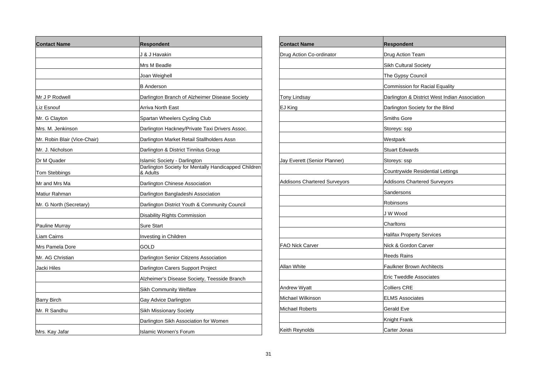| <b>Contact Name</b>          | <b>Respondent</b>                                                |
|------------------------------|------------------------------------------------------------------|
|                              | J & J Havakin                                                    |
|                              | Mrs M Beadle                                                     |
|                              | Joan Weighell                                                    |
|                              | <b>B</b> Anderson                                                |
| Mr J P Rodwell               | Darlington Branch of Alzheimer Disease Society                   |
| Liz Esnouf                   | <b>Arriva North East</b>                                         |
| Mr. G Clayton                | Spartan Wheelers Cycling Club                                    |
| Mrs. M. Jenkinson            | Darlington Hackney/Private Taxi Drivers Assoc.                   |
| Mr. Robin Blair (Vice-Chair) | Darlington Market Retail Stallholders Assn                       |
| Mr. J. Nicholson             | Darlington & District Tinnitus Group                             |
| Dr M Quader                  | Islamic Society - Darlington                                     |
| Tom Stebbings                | Darlington Society for Mentally Handicapped Children<br>& Adults |
| Mr and Mrs Ma                | Darlington Chinese Association                                   |
| Matiur Rahman                | Darlington Bangladeshi Association                               |
| Mr. G North (Secretary)      | Darlington District Youth & Community Council                    |
|                              | Disability Rights Commission                                     |
| Pauline Murray               | Sure Start                                                       |
| Liam Cairns                  | Investing in Children                                            |
| Mrs Pamela Dore              | GOLD                                                             |
| Mr. AG Christian             | Darlington Senior Citizens Association                           |
| Jacki Hiles                  | Darlington Carers Support Project                                |
|                              | Alzheimer's Disease Society, Teesside Branch                     |
|                              | Sikh Community Welfare                                           |
| Barry Birch                  | Gay Advice Darlington                                            |
| Mr. R Sandhu                 | Sikh Missionary Society                                          |
|                              | Darlington Sikh Association for Women                            |
| Mrs. Kay Jafar               | <b>Islamic Women's Forum</b>                                     |

| <b>Contact Name</b>                 | <b>Respondent</b>                             |
|-------------------------------------|-----------------------------------------------|
| Drug Action Co-ordinator            | Drug Action Team                              |
|                                     | Sikh Cultural Society                         |
|                                     | The Gypsy Council                             |
|                                     | <b>Commission for Racial Equality</b>         |
| Tony Lindsay                        | Darlington & District West Indian Association |
| EJ King                             | Darlington Society for the Blind              |
|                                     | <b>Smiths Gore</b>                            |
|                                     | Storeys: ssp                                  |
|                                     | Westpark                                      |
|                                     | <b>Stuart Edwards</b>                         |
| Jay Everett (Senior Planner)        | Storeys: ssp                                  |
|                                     | Countrywide Residential Lettings              |
| <b>Addisons Chartered Surveyors</b> | <b>Addisons Chartered Surveyors</b>           |
|                                     | Sandersons                                    |
|                                     | Robinsons                                     |
|                                     | J W Wood                                      |
|                                     | Charltons                                     |
|                                     | <b>Halifax Property Services</b>              |
| <b>FAO Nick Carver</b>              | Nick & Gordon Carver                          |
|                                     | <b>Reeds Rains</b>                            |
| Allan White                         | <b>Faulkner Brown Architects</b>              |
|                                     | <b>Eric Tweddle Associates</b>                |
| <b>Andrew Wyatt</b>                 | <b>Colliers CRE</b>                           |
| Michael Wilkinson                   | <b>ELMS Associates</b>                        |
| <b>Michael Roberts</b>              | Gerald Eve                                    |
|                                     | Knight Frank                                  |
| Keith Reynolds                      | Carter Jonas                                  |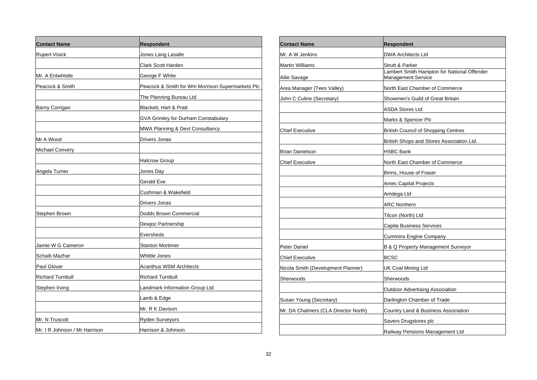| <b>Contact Name</b>           | <b>Respondent</b>                                |
|-------------------------------|--------------------------------------------------|
| <b>Rupert Visick</b>          | Jones Lang Lasalle                               |
|                               | Clark Scott Harden                               |
| Mr. A Entwhistle              | George F White                                   |
| Peacock & Smith               | Peacock & Smith for Wm Morrison Supermarkets Plc |
|                               | The Planning Bureau Ltd                          |
| <b>Barny Corrigan</b>         | Blackett, Hart & Pratt                           |
|                               | GVA Grimley for Durham Constabulary              |
|                               | MWA Planning & Devt Consultancy                  |
| Mr A Wood                     | Drivers Jonas                                    |
| <b>Michael Convery</b>        |                                                  |
|                               | <b>Halcrow Group</b>                             |
| Angela Turner                 | Jones Day                                        |
|                               | Gerald Eve                                       |
|                               | Cushman & Wakefield                              |
|                               | Drivers Jonas                                    |
| Stephen Brown                 | Dodds Brown Commercial                           |
|                               | Dewjoc Partnership                               |
|                               | Eversheds                                        |
| Jamie W G Cameron             | <b>Stanton Mortimer</b>                          |
| Schaib Mazhar                 | Whittle Jones                                    |
| Paul Glover                   | Acanthus WSM Architects                          |
| <b>Richard Turnbull</b>       | <b>Richard Turnbull</b>                          |
| Stephen Irving                | Landmark Information Group Ltd                   |
|                               | Lamb & Edge                                      |
|                               | Mr. R K Davison                                  |
| Mr. N Truscott                | Ryden Surveyors                                  |
| Mr. I R Johnson / Mr Harrison | Harrison & Johnson                               |

| <b>Contact Name</b>                  | <b>Respondent</b>                                                 |
|--------------------------------------|-------------------------------------------------------------------|
| Mr. A W Jenkins                      | <b>DWA Architects Ltd</b>                                         |
| Martin Williams                      | Strutt & Parker                                                   |
| Ailie Savage                         | Lambert Smith Hampton for National Offender<br>Management Service |
| Area Manager (Tees Valley)           | North East Chamber of Commerce                                    |
| John C Culine (Secretary)            | Showmen's Guild of Great Britain                                  |
|                                      | <b>ASDA Stores Ltd</b>                                            |
|                                      | Marks & Spencer Plc                                               |
| <b>Chief Executive</b>               | <b>British Council of Shopping Centres</b>                        |
|                                      | British Shops and Stores Association Ltd.                         |
| <b>Brian Danielson</b>               | HSBC Bank                                                         |
| <b>Chief Executive</b>               | North East Chamber of Commerce                                    |
|                                      | Binns, House of Fraser                                            |
|                                      | Amec Capital Projects                                             |
|                                      | Amdega Ltd                                                        |
|                                      | <b>ARC Northern</b>                                               |
|                                      | Tilcon (North) Ltd                                                |
|                                      | Capita Business Services                                          |
|                                      | <b>Cummins Engine Company</b>                                     |
| Peter Daniel                         | B & Q Property Management Surveyor                                |
| <b>Chief Executive</b>               | <b>BCSC</b>                                                       |
| Nicola Smith (Development Planner)   | UK Coal Mining Ltd                                                |
| Sherwoods                            | Sherwoods                                                         |
|                                      | Outdoor Advertising Association                                   |
| Susan Young (Secretary)              | Darlington Chamber of Trade                                       |
| Mr. DA Chalmers (CLA Director North) | Country Land & Business Association                               |
|                                      | Savers Drugstores plc                                             |
|                                      | Railway Pensions Management Ltd                                   |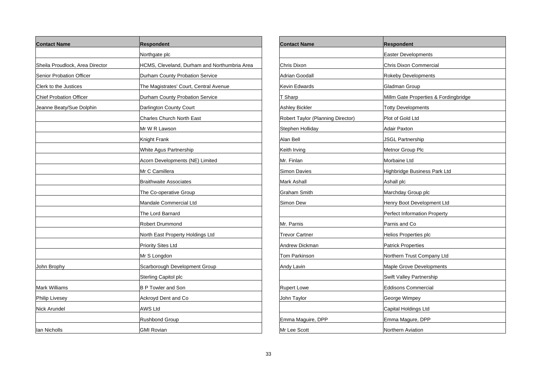| <b>Contact Name</b>             | <b>Respondent</b>                            |
|---------------------------------|----------------------------------------------|
|                                 | Northgate plc                                |
| Sheila Proudlock, Area Director | HCMS, Cleveland, Durham and Northumbria Area |
| Senior Probation Officer        | Durham County Probation Service              |
| Clerk to the Justices           | The Magistrates' Court, Central Avenue       |
| <b>Chief Probation Officer</b>  | Durham County Probation Service              |
| Jeanne Beaty/Sue Dolphin        | Darlington County Court                      |
|                                 | <b>Charles Church North East</b>             |
|                                 | Mr W R Lawson                                |
|                                 | Knight Frank                                 |
|                                 | White Agus Partnership                       |
|                                 | Acorn Developments (NE) Limited              |
|                                 | Mr C Camillera                               |
|                                 | <b>Braithwaite Associates</b>                |
|                                 | The Co-operative Group                       |
|                                 | Mandale Commercial Ltd                       |
|                                 | The Lord Barnard                             |
|                                 | Robert Drummond                              |
|                                 | North East Property Holdings Ltd             |
|                                 | <b>Priority Sites Ltd</b>                    |
|                                 | Mr S Longdon                                 |
| John Brophy                     | Scarborough Development Group                |
|                                 | Sterling Capitol plc                         |
| Mark Williams                   | <b>B P Towler and Son</b>                    |
| <b>Philip Livesey</b>           | Ackroyd Dent and Co                          |
| Nick Arundel                    | <b>AWS Ltd</b>                               |
|                                 | Rushbond Group                               |
| lan Nicholls                    | <b>GMI Rovian</b>                            |

| Contact Name                      | <b>Respondent</b>                     |
|-----------------------------------|---------------------------------------|
|                                   | <b>Easter Developments</b>            |
| Chris Dixon                       | Chris Dixon Commercial                |
| Adrian Goodall                    | <b>Rokeby Developments</b>            |
| Kevin Edwards                     | Gladman Group                         |
| T Sharp                           | Millm Gate Properties & Fordingbridge |
| Ashley Bickler                    | <b>Totty Developments</b>             |
| Robert Taylor (Planning Director) | Plot of Gold Ltd                      |
| Stephen Holliday                  | Adair Paxton                          |
| Alan Bell                         | <b>JSGL Partnership</b>               |
| Keith Irving                      | Metnor Group Plc                      |
| Mr. Finlan                        | Morbaine Ltd                          |
| Simon Davies                      | Highbridge Business Park Ltd          |
| Mark Ashall                       | Ashall plc                            |
| Graham Smith                      | Marchday Group plc                    |
| Simon Dew                         | Henry Boot Development Ltd            |
|                                   | Perfect Information Property          |
| Mr. Parnis                        | Parnis and Co                         |
| Trevor Cartner                    | <b>Helios Properties plc</b>          |
| Andrew Dickman                    | <b>Patrick Properties</b>             |
| Tom Parkinson                     | Northern Trust Company Ltd            |
| Andy Lavin                        | Maple Grove Developments              |
|                                   | Swift Valley Partnership              |
| <b>Rupert Lowe</b>                | <b>Eddisons Commercial</b>            |
| John Taylor                       | George Wimpey                         |
|                                   | Capital Holdings Ltd                  |
| Emma Maguire, DPP                 | Emma Magure, DPP                      |
| Mr Lee Scott                      | Northern Aviation                     |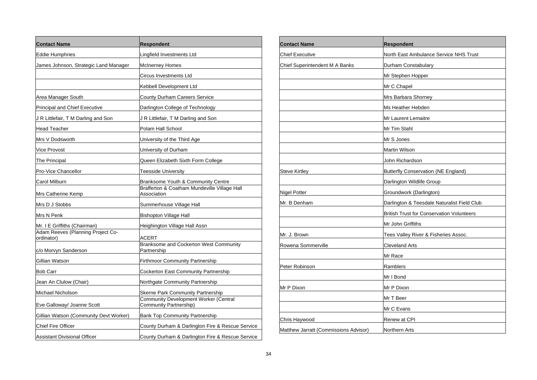| <b>Contact Name</b>                             | <b>Respondent</b>                                                      |
|-------------------------------------------------|------------------------------------------------------------------------|
| <b>Eddie Humphries</b>                          | Lingfield Investments Ltd                                              |
| James Johnson, Strategic Land Manager           | <b>McInerney Homes</b>                                                 |
|                                                 | Circus Investments Ltd                                                 |
|                                                 | Kebbell Development Ltd                                                |
| Area Manager South                              | County Durham Careers Service                                          |
| <b>Principal and Chief Executive</b>            | Darlington College of Technology                                       |
| J R Littlefair, T M Darling and Son             | J R Littlefair, T M Darling and Son                                    |
| <b>Head Teacher</b>                             | Polam Hall School                                                      |
| Mrs V Dodsworth                                 | University of the Third Age                                            |
| Vice Provost                                    | University of Durham                                                   |
| The Principal                                   | Queen Elizabeth Sixth Form College                                     |
| Pro-Vice Chancellor                             | Teesside University                                                    |
| Carol Milburn                                   | Branksome Youth & Community Centre                                     |
| Mrs Catherine Kemp                              | Brafferton & Coatham Mundeville Village Hall<br>Association            |
| Mrs D J Stobbs                                  | Summerhouse Village Hall                                               |
| Mrs N Penk                                      | Bishopton Village Hall                                                 |
| Mr. I E Griffiths (Chairman)                    | Heighington Village Hall Assn                                          |
| Adam Reeves (Planning Project Co-<br>ordinator) | ACERT                                                                  |
| c/o Morvyn Sanderson                            | Branksome and Cockerton West Community<br>Partnership                  |
| Gillian Watson                                  | Firthmoor Community Partnership                                        |
| Bob Carr                                        | Cockerton East Community Partnership                                   |
| Jean An Clulow (Chair)                          | Northgate Community Partnership                                        |
| Michael Nicholson                               | <b>Skerne Park Community Partnership</b>                               |
| Eve Galloway/ Joanne Scott                      | <b>Community Development Worker (Central</b><br>Community Partnership) |
| Gillian Watson (Community Devt Worker)          | <b>Bank Top Community Partnership</b>                                  |
| <b>Chief Fire Officer</b>                       | County Durham & Darlington Fire & Rescue Service                       |
| <b>Assistant Divisional Officer</b>             | County Durham & Darlington Fire & Rescue Service                       |

| <b>Contact Name</b>                   | <b>Respondent</b>                                |
|---------------------------------------|--------------------------------------------------|
| <b>Chief Executive</b>                | North East Ambulance Service NHS Trust           |
| Chief Superintendent M A Banks        | Durham Constabulary                              |
|                                       | Mr Stephen Hopper                                |
|                                       | Mr C Chapel                                      |
|                                       | Mrs Barbara Shorney                              |
|                                       | Ms Heather Hebden                                |
|                                       | Mr Laurent Lemaitre                              |
|                                       | Mr Tim Stahl                                     |
|                                       | Mr S Jones                                       |
|                                       | <b>Martin Wilson</b>                             |
|                                       | John Richardson                                  |
| <b>Steve Kirtley</b>                  | <b>Butterfly Conservation (NE England)</b>       |
|                                       | Darlington Wildlife Group                        |
| <b>Nigel Potter</b>                   | Groundwork (Darlington)                          |
| Mr. B Denham                          | Darlington & Teesdale Naturalist Field Club      |
|                                       | <b>British Trust for Conservation Volunteers</b> |
|                                       | Mr John Griffiths                                |
| Mr. J. Brown                          | Tees Valley River & Fisheries Assoc.             |
| Rowena Sommerville                    | <b>Cleveland Arts</b>                            |
|                                       | Mr Race                                          |
| Peter Robinson                        | Ramblers                                         |
|                                       | Mr I Bond                                        |
| Mr P Dixon                            | Mr P Dixon                                       |
|                                       | Mr T Beer                                        |
|                                       | Mr C Evans                                       |
| Chris Haywood                         | Renew at CPI                                     |
| Matthew Jarratt (Commissions Advisor) | Northern Arts                                    |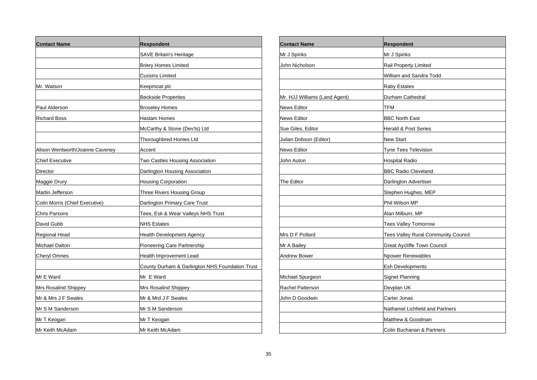| <b>Contact Name</b>             | Respondent                                      |
|---------------------------------|-------------------------------------------------|
|                                 | <b>SAVE Britain's Heritage</b>                  |
|                                 | <b>Briery Homes Limited</b>                     |
|                                 | <b>Cussins Limited</b>                          |
| Mr. Watson                      | Keepmoat plc                                    |
|                                 | <b>Beckside Properties</b>                      |
| Paul Alderson                   | <b>Broseley Homes</b>                           |
| Richard Boss                    | Haslam Homes                                    |
|                                 | McCarthy & Stone (Dev'ts) Ltd                   |
|                                 | <b>Thoroughbred Homes Ltd</b>                   |
| Alison Wentworth/Joanne Caveney | Accent                                          |
| Chief Executive                 | Two Castles Housing Association                 |
| Director                        | Darlington Housing Association                  |
| Maggie Drury                    | <b>Housing Corporation</b>                      |
| Martin Jefferson                | Three Rivers Housing Group                      |
| Colin Morris (Chief Executive)  | Darlington Primary Care Trust                   |
| Chris Parsons                   | Tees, Esk & Wear Valleys NHS Trust              |
| David Gubb                      | <b>NHS Estates</b>                              |
| Regional Head                   | <b>Health Development Agency</b>                |
| <b>Michael Dalton</b>           | Pioneering Care Partnership                     |
| Cheryl Omnes                    | Health Improvement Lead                         |
|                                 | County Durham & Darlington NHS Foundation Trust |
| Mr E Ward                       | Mr E Ward                                       |
| Mrs Rosalind Shippey            | Mrs Rosalind Shippey                            |
| Mr & Mrs J F Swales             | Mr & Mrd J F Swales                             |
| Mr S M Sanderson                | Mr S M Sanderson                                |
| Mr T Keogan                     | Mr T Keogan                                     |
| Mr Keith McAdam                 | Mr Keith McAdam                                 |

| <b>Contact Name</b>           | <b>Respondent</b>                   |
|-------------------------------|-------------------------------------|
| Mr J Spinks                   | Mr J Spinks                         |
| John Nicholson                | Rail Property Limited               |
|                               | William and Sandra Todd             |
|                               | <b>Raby Estates</b>                 |
| Mr. HJJ Williams (Land Agent) | Durham Cathedral                    |
| News Editor                   | TFM                                 |
| <b>News Editor</b>            | <b>BBC North East</b>               |
| Sue Giles, Editor             | <b>Herald &amp; Post Series</b>     |
| Julian Dobson (Editor)        | <b>New Start</b>                    |
| <b>News Editor</b>            | Tyne Tees Television                |
| John Auton                    | <b>Hospital Radio</b>               |
|                               | <b>BBC Radio Cleveland</b>          |
| The Editor                    | Darlington Advertiser               |
|                               | Stephen Hughes, MEP                 |
|                               | Phil Wilson MP                      |
|                               | Alan Milburn, MP                    |
|                               | Tees Valley Tomorrow                |
| Mrs D F Pollard               | Tees Valley Rural Community Council |
| Mr A Bailey                   | Great Aycliffe Town Council         |
| Andrew Bower                  | Npower Renewables                   |
|                               | <b>Esh Developments</b>             |
| Michael Spurgeon              | Signet Planning                     |
| Rachel Patterson              | Devplan UK                          |
| John D Goodwin                | Carter Jonas                        |
|                               | Nathaniel Lichfield and Partners    |
|                               | Matthew & Goodman                   |
|                               | Colin Buchanan & Partners           |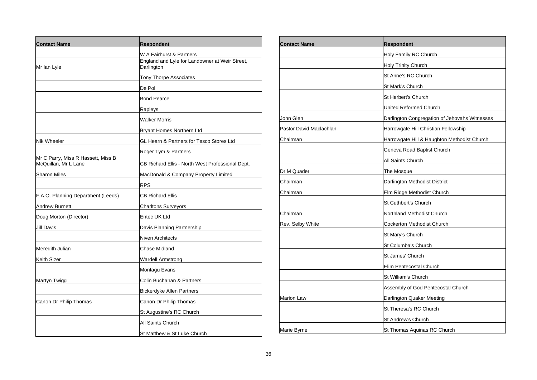| <b>Contact Name</b>                                        | <b>Respondent</b>                                                                        |
|------------------------------------------------------------|------------------------------------------------------------------------------------------|
| Mr Ian Lyle                                                | W A Fairhurst & Partners<br>England and Lyle for Landowner at Weir Street,<br>Darlington |
|                                                            | <b>Tony Thorpe Associates</b>                                                            |
|                                                            | De Pol                                                                                   |
|                                                            | <b>Bond Pearce</b>                                                                       |
|                                                            | Rapleys                                                                                  |
|                                                            | Walker Morris                                                                            |
|                                                            | Bryant Homes Northern Ltd                                                                |
| <b>Nik Wheeler</b>                                         | GL Hearn & Partners for Tesco Stores Ltd                                                 |
|                                                            | Roger Tym & Partners                                                                     |
| Mr C Parry, Miss R Hassett, Miss B<br>McQuillan, Mr L Lane | CB Richard Ellis - North West Professional Dept.                                         |
| <b>Sharon Miles</b>                                        | MacDonald & Company Property Limited                                                     |
|                                                            | <b>RPS</b>                                                                               |
| F.A.O. Planning Department (Leeds)                         | <b>CB Richard Ellis</b>                                                                  |
| <b>Andrew Burnett</b>                                      | <b>Charltons Surveyors</b>                                                               |
| Doug Morton (Director)                                     | Entec UK Ltd                                                                             |
| <b>Jill Davis</b>                                          | Davis Planning Partnership                                                               |
|                                                            | Niven Architects                                                                         |
| Meredith Julian                                            | Chase Midland                                                                            |
| <b>Keith Sizer</b>                                         | Wardell Armstrong                                                                        |
|                                                            | Montagu Evans                                                                            |
| Martyn Twigg                                               | Colin Buchanan & Partners                                                                |
|                                                            | Bickerdyke Allen Partners                                                                |
| Canon Dr Philip Thomas                                     | Canon Dr Philip Thomas                                                                   |
|                                                            | St Augustine's RC Church                                                                 |
|                                                            | All Saints Church                                                                        |
|                                                            | St Matthew & St Luke Church                                                              |

| <b>Contact Name</b>     | <b>Respondent</b>                             |
|-------------------------|-----------------------------------------------|
|                         | Holy Family RC Church                         |
|                         | Holy Trinity Church                           |
|                         | St Anne's RC Church                           |
|                         | <b>St Mark's Church</b>                       |
|                         | St Herbert's Church                           |
|                         | <b>United Reformed Church</b>                 |
| John Glen               | Darlington Congregation of Jehovahs Witnesses |
| Pastor David Maclachlan | Harrowgate Hill Christian Fellowship          |
| Chairman                | Harrowgate Hill & Haughton Methodist Church   |
|                         | Geneva Road Baptist Church                    |
|                         | All Saints Church                             |
| Dr M Quader             | The Mosque                                    |
| Chairman                | Darlington Methodist District                 |
| Chairman                | Elm Ridge Methodist Church                    |
|                         | St Cuthbert's Church                          |
| Chairman                | Northland Methodist Church                    |
| Rev. Selby White        | Cockerton Methodist Church                    |
|                         | St Mary's Church                              |
|                         | St Columba's Church                           |
|                         | St James' Church                              |
|                         | Elim Pentecostal Church                       |
|                         | St William's Church                           |
|                         | Assembly of God Pentecostal Church            |
| <b>Marion Law</b>       | Darlington Quaker Meeting                     |
|                         | St Theresa's RC Church                        |
|                         | St Andrew's Church                            |
| Marie Byrne             | St Thomas Aquinas RC Church                   |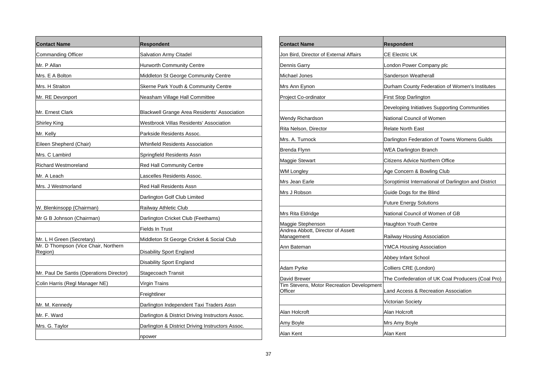| <b>Contact Name</b>                             | <b>Respondent</b>                                   |
|-------------------------------------------------|-----------------------------------------------------|
| Commanding Officer                              | Salvation Army Citadel                              |
| Mr. P Allan                                     | <b>Hurworth Community Centre</b>                    |
| Mrs. E A Bolton                                 | Middleton St George Community Centre                |
| Mrs. H Straiton                                 | Skerne Park Youth & Community Centre                |
| Mr. RE Devonport                                | Neasham Village Hall Committee                      |
| Mr. Ernest Clark                                | <b>Blackwell Grange Area Residents' Association</b> |
| Shirley King                                    | Westbrook Villas Residents' Association             |
| Mr. Kelly                                       | Parkside Residents Assoc.                           |
| Eileen Shepherd (Chair)                         | <b>Whinfield Residents Association</b>              |
| Mrs. C Lambird                                  | Springfield Residents Assn                          |
| <b>Richard Westmoreland</b>                     | <b>Red Hall Community Centre</b>                    |
| Mr. A Leach                                     | Lascelles Residents Assoc.                          |
| Mrs. J Westmorland                              | Red Hall Residents Assn                             |
|                                                 | Darlington Golf Club Limited                        |
| W. Blenkinsopp (Chairman)                       | Railway Athletic Club                               |
| Mr G B Johnson (Chairman)                       | Darlington Cricket Club (Feethams)                  |
|                                                 | Fields In Trust                                     |
| Mr. L H Green (Secretary)                       | Middleton St George Cricket & Social Club           |
| Mr. D Thompson (Vice Chair, Northern<br>Region) | Disability Sport England                            |
|                                                 | Disability Sport England                            |
| Mr. Paul De Santis (Operations Director)        | Stagecoach Transit                                  |
| Colin Harris (Regl Manager NE)                  | Virgin Trains                                       |
|                                                 | Freightliner                                        |
| Mr. M. Kennedy                                  | Darlington Independent Taxi Traders Assn            |
| Mr. F. Ward                                     | Darlington & District Driving Instructors Assoc.    |
| Mrs. G. Taylor                                  | Darlington & District Driving Instructors Assoc.    |
|                                                 | npower                                              |

| <b>Contact Name</b>                                  | <b>Respondent</b>                                    |
|------------------------------------------------------|------------------------------------------------------|
| Jon Bird. Director of External Affairs               | <b>CE Electric UK</b>                                |
| Dennis Garry                                         | London Power Company plc                             |
| Michael Jones                                        | Sanderson Weatherall                                 |
| Mrs Ann Eynon                                        | Durham County Federation of Women's Institutes       |
| Project Co-ordinator                                 | First Stop Darlington                                |
|                                                      | Developing Initiatives Supporting Communities        |
| Wendy Richardson                                     | National Council of Women                            |
| Rita Nelson, Director                                | <b>Relate North East</b>                             |
| Mrs. A. Turnock                                      | Darlington Federation of Towns Womens Guilds         |
| Brenda Flynn                                         | <b>WEA Darlington Branch</b>                         |
| Maggie Stewart                                       | Citizens Advice Northern Office                      |
| WM Longley                                           | Age Concern & Bowling Club                           |
| Mrs Jean Earle                                       | Soroptimist International of Darlington and District |
| Mrs J Robson                                         | Guide Dogs for the Blind                             |
|                                                      | <b>Future Energy Solutions</b>                       |
| Mrs Rita Eldridge                                    | National Council of Women of GB                      |
| Maggie Stephenson                                    | Haughton Youth Centre                                |
| Andrea Abbott, Director of Assett<br>Management      | Railway Housing Association                          |
| Ann Bateman                                          | YMCA Housing Association                             |
|                                                      | Abbey Infant School                                  |
| Adam Pyrke                                           | Colliers CRE (London)                                |
| David Brewer                                         | The Confederation of UK Coal Producers (Coal Pro)    |
| Tim Stevens, Motor Recreation Development<br>Officer | Land Access & Recreation Association                 |
|                                                      | Victorian Society                                    |
| Alan Holcroft                                        | Alan Holcroft                                        |
| Amy Boyle                                            | Mrs Amy Boyle                                        |
| Alan Kent                                            | Alan Kent                                            |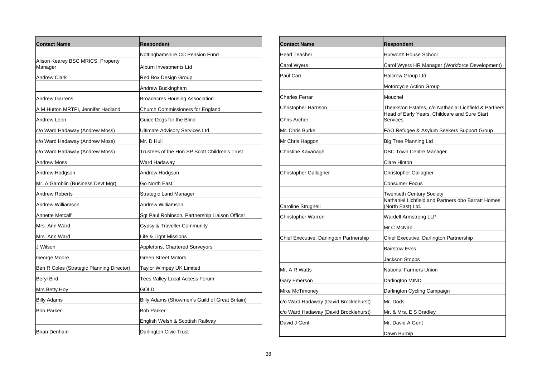| <b>Contact Name</b>                          | <b>Respondent</b>                              |
|----------------------------------------------|------------------------------------------------|
|                                              | Nottinghamshire CC Pension Fund                |
| Alison Kearey BSC MRICS, Property<br>Manager | Alburn Investments Ltd                         |
| Andrew Clark                                 | Red Box Design Group                           |
|                                              | Andrew Buckingham                              |
| Andrew Garrens                               | <b>Broadacres Housing Association</b>          |
| A M Hutton MRTPI, Jennifer Hadland           | Church Commissioners for England               |
| Andrew Leon                                  | Guide Dogs for the Blind                       |
| c/o Ward Hadaway (Andrew Moss)               | <b>Ultimate Advisory Services Ltd</b>          |
| c/o Ward Hadaway (Andrew Moss)               | Mr. D Hull                                     |
| c/o Ward Hadaway (Andrew Moss)               | Trustees of the Hon SP Scott Children's Trust  |
| Andrew Moss                                  | Ward Hadaway                                   |
| Andrew Hodgson                               | Andrew Hodgson                                 |
| Mr. A Gamblin (Business Devt Mgr)            | Go North East                                  |
| Andrew Roberts                               | Strategic Land Manager                         |
| Andrew Williamson                            | Andrew Williamson                              |
| Annette Metcalf                              | Sgt Paul Robinson, Partnership Liaison Officer |
| Mrs. Ann Ward                                | Gypsy & Traveller Community                    |
| Mrs. Ann Ward                                | Life & Light Missions                          |
| J Wilson                                     | Appletons, Chartered Surveyors                 |
| George Moore                                 | <b>Green Street Motors</b>                     |
| Ben R Coles (Strategic Planning Director)    | Taylor Wimpey UK Limited                       |
| <b>Beryl Bird</b>                            | Tees Valley Local Access Forum                 |
| Mrs Betty Hoy                                | GOLD                                           |
| Billy Adams                                  | Billy Adams (Showmen's Guild of Great Britain) |
| <b>Bob Parker</b>                            | <b>Bob Parker</b>                              |
|                                              | English Welsh & Scottish Railway               |
| Brian Denham                                 | Darlington Civic Trust                         |

| Contact Name                            | <b>Respondent</b>                                                                                                  |
|-----------------------------------------|--------------------------------------------------------------------------------------------------------------------|
| <b>Head Teacher</b>                     | <b>Hurworth House School</b>                                                                                       |
| Carol Wyers                             | Carol Wyers HR Manager (Workforce Development)                                                                     |
| Paul Carr                               | <b>Halcrow Group Ltd</b>                                                                                           |
|                                         | Motorcycle Action Group                                                                                            |
| Charles Ferrar                          | Mouchel                                                                                                            |
| Christopher Harrison<br>Chris Archer    | Theakston Estates, c/o Nathanial Lichfield & Partners<br>Head of Early Years, Childcare and Sure Start<br>Services |
| Mr. Chris Burke                         | FAO Refugee & Asylum Seekers Support Group                                                                         |
| Mr Chris Haggon                         | <b>Big Tree Planning Ltd</b>                                                                                       |
| Christine Kavanagh                      | <b>DBC Town Centre Manager</b>                                                                                     |
|                                         | Clare Hinton                                                                                                       |
| Christopher Gallagher                   | Christopher Gallagher                                                                                              |
|                                         | Consumer Focus                                                                                                     |
|                                         | <b>Twentieth Century Society</b>                                                                                   |
| Caroline Strugnell                      | Nathaniel Lichfield and Partners obo Barratt Homes<br>(North East) Ltd.                                            |
| Christopher Warren                      | <b>Wardell Armstrong LLP</b>                                                                                       |
|                                         | Mr C McNab                                                                                                         |
| Chief Executive, Darlington Partnership | Chief Executive, Darlington Partnership                                                                            |
|                                         | <b>Bairstow Eves</b>                                                                                               |
|                                         | Jackson Stopps                                                                                                     |
| Mr. A R Watts                           | <b>National Farmers Union</b>                                                                                      |
| Gary Emerson                            | Darlington MIND                                                                                                    |
| Mike McTimoney                          | Darlington Cycling Campaign                                                                                        |
| c/o Ward Hadaway (David Brocklehurst)   | Mr. Dods                                                                                                           |
| c/o Ward Hadaway (David Brocklehurst)   | Mr. & Mrs. E S Bradley                                                                                             |
| David J Gent                            | Mr. David A Gent                                                                                                   |
|                                         | Dawn Burnip                                                                                                        |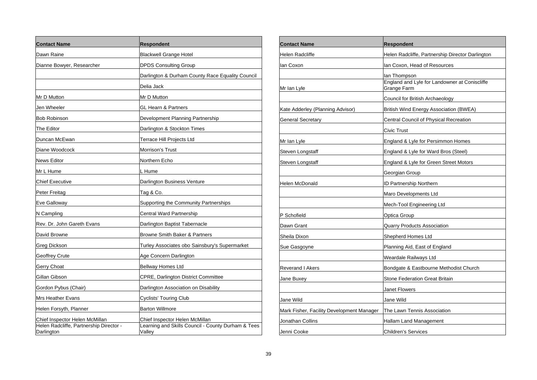| <b>Contact Name</b>                                                                     | <b>Respondent</b>                                                                              |
|-----------------------------------------------------------------------------------------|------------------------------------------------------------------------------------------------|
| Dawn Raine                                                                              | <b>Blackwell Grange Hotel</b>                                                                  |
| Dianne Bowyer, Researcher                                                               | DPDS Consulting Group                                                                          |
|                                                                                         | Darlington & Durham County Race Equality Council                                               |
|                                                                                         | Delia Jack                                                                                     |
| Mr D Mutton                                                                             | Mr D Mutton                                                                                    |
| Jen Wheeler                                                                             | GL Hearn & Partners                                                                            |
| <b>Bob Robinson</b>                                                                     | Development Planning Partnership                                                               |
| The Editor                                                                              | Darlington & Stockton Times                                                                    |
| Duncan McEwan                                                                           | Terrace Hill Projects Ltd                                                                      |
| Diane Woodcock                                                                          | Morrison's Trust                                                                               |
| News Editor                                                                             | Northern Echo                                                                                  |
| Mr L Hume                                                                               | L Hume                                                                                         |
| Chief Executive                                                                         | Darlington Business Venture                                                                    |
| Peter Freitag                                                                           | Tag & Co.                                                                                      |
| Eve Galloway                                                                            | Supporting the Community Partnerships                                                          |
| N Campling                                                                              | <b>Central Ward Partnership</b>                                                                |
| Rev. Dr. John Gareth Evans                                                              | Darlington Baptist Tabernacle                                                                  |
| David Browne                                                                            | <b>Browne Smith Baker &amp; Partners</b>                                                       |
| Greg Dickson                                                                            | Turley Associates obo Sainsbury's Supermarket                                                  |
| Geoffrey Crute                                                                          | Age Concern Darlington                                                                         |
| Gerry Choat                                                                             | <b>Bellway Homes Ltd</b>                                                                       |
| Gillan Gibson                                                                           | CPRE, Darlington District Committee                                                            |
| Gordon Pybus (Chair)                                                                    | Darlington Association on Disability                                                           |
| <b>Mrs Heather Evans</b>                                                                | Cyclists' Touring Club                                                                         |
| Helen Forsyth, Planner                                                                  | <b>Barton Willmore</b>                                                                         |
| Chief Inspector Helen McMillan<br>Helen Radcliffe, Partnership Director -<br>Darlington | Chief Inspector Helen McMillan<br>Learning and Skills Council - County Durham & Tees<br>Valley |

| <b>Contact Name</b>                       | <b>Respondent</b>                                            |
|-------------------------------------------|--------------------------------------------------------------|
| Helen Radcliffe                           | Helen Radcliffe, Partnership Director Darlington             |
| lan Coxon                                 | lan Coxon, Head of Resources                                 |
|                                           | lan Thompson                                                 |
| Mr Ian Lyle                               | England and Lyle for Landowner at Coniscliffe<br>Grange Farm |
|                                           | Council for British Archaeology                              |
| Kate Adderley (Planning Advisor)          | <b>British Wind Energy Association (BWEA)</b>                |
| General Secretary                         | Central Council of Physical Recreation                       |
|                                           | Civic Trust                                                  |
| Mr Ian Lyle                               | England & Lyle for Persimmon Homes                           |
| Steven Longstaff                          | England & Lyle for Ward Bros (Steel)                         |
| Steven Longstaff                          | England & Lyle for Green Street Motors                       |
|                                           | Georgian Group                                               |
| Helen McDonald                            | <b>ID Partnership Northern</b>                               |
|                                           | Maro Developments Ltd                                        |
|                                           | Mech-Tool Engineering Ltd                                    |
| P Schofield                               | Optica Group                                                 |
| Dawn Grant                                | Quarry Products Association                                  |
| Sheila Dixon                              | Shepherd Homes Ltd                                           |
| Sue Gasgoyne                              | Planning Aid, East of England                                |
|                                           | Weardale Railways Ltd                                        |
| Reverand I Akers                          | Bondgate & Eastbourne Methodist Church                       |
| Jane Buxev                                | <b>Stone Federation Great Britain</b>                        |
|                                           | Janet Flowers                                                |
| Jane Wild                                 | Jane Wild                                                    |
| Mark Fisher, Facility Development Manager | The Lawn Tennis Association                                  |
| Jonathan Collins                          | Hallam Land Management                                       |
| Jenni Cooke                               | Children's Services                                          |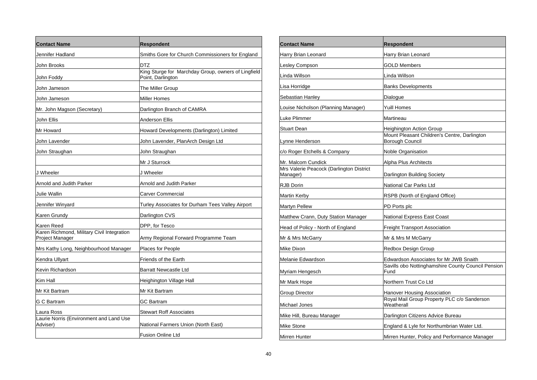| <b>Contact Name</b>                                           | <b>Respondent</b>                                                        |
|---------------------------------------------------------------|--------------------------------------------------------------------------|
| Jennifer Hadland                                              | Smiths Gore for Church Commissioners for England                         |
| John Brooks                                                   | DTZ                                                                      |
| John Foddy                                                    | King Sturge for Marchday Group, owners of Lingfield<br>Point, Darlington |
| John Jameson                                                  | The Miller Group                                                         |
| John Jameson                                                  | <b>Miller Homes</b>                                                      |
| Mr. John Magson (Secretary)                                   | Darlington Branch of CAMRA                                               |
| John Ellis                                                    | <b>Anderson Ellis</b>                                                    |
| Mr Howard                                                     | Howard Developments (Darlington) Limited                                 |
| John Lavender                                                 | John Lavender, PlanArch Design Ltd                                       |
| John Straughan                                                | John Straughan                                                           |
|                                                               | Mr J Sturrock                                                            |
| J Wheeler                                                     | J Wheeler                                                                |
| Arnold and Judith Parker                                      | Arnold and Judith Parker                                                 |
| Julie Wallin                                                  | <b>Carver Commercial</b>                                                 |
| Jennifer Winyard                                              | Turley Associates for Durham Tees Valley Airport                         |
| Karen Grundy                                                  | Darlington CVS                                                           |
| Karen Reed                                                    | DPP, for Tesco                                                           |
| Karen Richmond, Military Civil Integration<br>Project Manager | Army Regional Forward Programme Team                                     |
| Mrs Kathy Long, Neighbourhood Manager                         | Places for People                                                        |
| Kendra Ullyart                                                | Friends of the Earth                                                     |
| Kevin Richardson                                              | <b>Barratt Newcastle Ltd</b>                                             |
| Kim Hall                                                      | Heighington Village Hall                                                 |
| Mr Kit Bartram                                                | Mr Kit Bartram                                                           |
| G C Bartram                                                   | GC Bartram                                                               |
| Laura Ross                                                    | <b>Stewart Roff Associates</b>                                           |
| Laurie Norris (Environment and Land Use<br>Adviser)           | National Farmers Union (North East)                                      |
|                                                               | <b>Fusion Online Ltd</b>                                                 |

| <b>Contact Name</b>                                  | Respondent                                                             |
|------------------------------------------------------|------------------------------------------------------------------------|
| Harry Brian Leonard                                  | Harry Brian Leonard                                                    |
| Lesley Compson                                       | GOLD Members                                                           |
| Linda Willson                                        | Linda Willson                                                          |
| Lisa Horridge                                        | <b>Banks Developments</b>                                              |
| Sebastian Hanley                                     | Dialogue                                                               |
| Louise Nicholson (Planning Manager)                  | Yuill Homes                                                            |
| <b>Luke Plimmer</b>                                  | Martineau                                                              |
| <b>Stuart Dean</b>                                   | Heighington Action Group                                               |
| Lynne Henderson                                      | Mount Pleasant Children's Centre, Darlington<br><b>Borough Council</b> |
| c/o Roger Etchells & Company                         | <b>Noble Organisation</b>                                              |
| Mr. Malcom Cundick                                   | Alpha Plus Architects                                                  |
| Mrs Valerie Peacock (Darlington District<br>Manager) | Darlington Building Society                                            |
| <b>RJB Dorin</b>                                     | National Car Parks Ltd                                                 |
| Martin Kerby                                         | RSPB (North of England Office)                                         |
| <b>Martyn Pellew</b>                                 | PD Ports plc                                                           |
| Matthew Crann, Duty Station Manager                  | National Express East Coast                                            |
| Head of Policy - North of England                    | <b>Freight Transport Association</b>                                   |
| Mr & Mrs McGarry                                     | Mr & Mrs M McGarry                                                     |
| Mike Dixon                                           | Redbox Design Group                                                    |
| Melanie Edwardson                                    | Edwardson Associates for Mr JWB Snaith                                 |
| Myriam Hengesch                                      | Savills obo Nottinghamshire County Council Pension<br>Fund             |
| Mr Mark Hope                                         | Northern Trust Co Ltd                                                  |
| Group Director                                       | Hanover Housing Association                                            |
| Michael Jones                                        | Royal Mail Group Property PLC c/o Sanderson<br>Weatherall              |
| Mike Hill, Bureau Manager                            | Darlington Citizens Advice Bureau                                      |
| <b>Mike Stone</b>                                    | England & Lyle for Northumbrian Water Ltd.                             |
| Mirren Hunter                                        | Mirren Hunter, Policy and Performance Manager                          |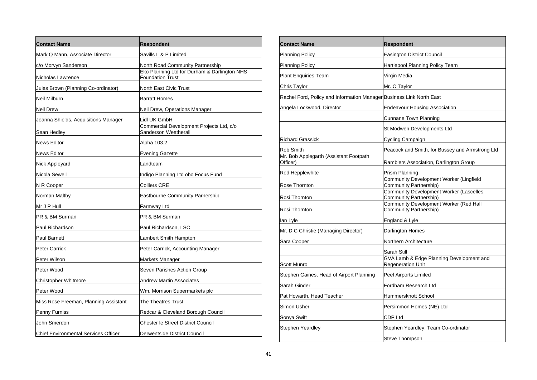| <b>Contact Name</b>                         | Respondent                                                              |
|---------------------------------------------|-------------------------------------------------------------------------|
| Mark Q Mann, Associate Director             | Savills L & P Limited                                                   |
| c/o Morvyn Sanderson                        | North Road Community Partnership                                        |
| Nicholas Lawrence                           | Eko Planning Ltd for Durham & Darlington NHS<br><b>Foundation Trust</b> |
| Jules Brown (Planning Co-ordinator)         | North East Civic Trust                                                  |
| Neil Milburn                                | <b>Barratt Homes</b>                                                    |
| Neil Drew                                   | Neil Drew, Operations Manager                                           |
| Joanna Shields, Acquisitions Manager        | Lidl UK GmbH                                                            |
| Sean Hedley                                 | Commercial Development Projects Ltd, c/o<br>Sanderson Weatherall        |
| <b>News Editor</b>                          | Alpha 103.2                                                             |
| <b>News Editor</b>                          | Evening Gazette                                                         |
| Nick Appleyard                              | Landteam                                                                |
| Nicola Sewell                               | Indigo Planning Ltd obo Focus Fund                                      |
| N R Cooper                                  | Colliers CRE                                                            |
| Norman Maltby                               | Eastbourne Community Parnership                                         |
| Mr J P Hull                                 | Farmway Ltd                                                             |
| PR & BM Surman                              | PR & BM Surman                                                          |
| Paul Richardson                             | Paul Richardson, LSC                                                    |
| Paul Barnett                                | Lambert Smith Hampton                                                   |
| Peter Carrick                               | Peter Carrick, Accounting Manager                                       |
| Peter Wilson                                | Markets Manager                                                         |
| Peter Wood                                  | Seven Parishes Action Group                                             |
| Christopher Whitmore                        | Andrew Martin Associates                                                |
| Peter Wood                                  | Wm. Morrison Supermarkets plc                                           |
| Miss Rose Freeman, Planning Assistant       | The Theatres Trust                                                      |
| Penny Furniss                               | Redcar & Cleveland Borough Council                                      |
| John Smerdon                                | Chester le Street District Council                                      |
| <b>Chief Environmental Services Officer</b> | Derwentside District Council                                            |

| <b>Contact Name</b>                                                  | Respondent                                                               |
|----------------------------------------------------------------------|--------------------------------------------------------------------------|
| <b>Planning Policy</b>                                               | <b>Easington District Council</b>                                        |
| <b>Planning Policy</b>                                               | Hartlepool Planning Policy Team                                          |
| <b>Plant Enquiries Team</b>                                          | Virgin Media                                                             |
| Chris Taylor                                                         | Mr. C Taylor                                                             |
| Rachel Ford, Policy and Information Manager Business Link North East |                                                                          |
| Angela Lockwood, Director                                            | Endeavour Housing Association                                            |
|                                                                      | Cunnane Town Planning                                                    |
|                                                                      | St Modwen Developments Ltd                                               |
| <b>Richard Grassick</b>                                              | Cycling Campaign                                                         |
| Rob Smith                                                            | Peacock and Smith, for Bussey and Armstrong Ltd                          |
| Mr. Bob Applegarth (Assistant Footpath<br>Officer)                   | Ramblers Association, Darlington Group                                   |
| Rod Hepplewhite                                                      | Prism Planning                                                           |
| Rose Thornton                                                        | Community Development Worker (Lingfield<br>Community Partnership)        |
| Rosi Thornton                                                        | <b>Community Development Worker (Lascelles</b><br>Community Partnership) |
| Rosi Thornton                                                        | Community Development Worker (Red Hall<br>Community Partnership)         |
| lan Lyle                                                             | England & Lyle                                                           |
| Mr. D C Christie (Managing Director)                                 | Darlington Homes                                                         |
| Sara Cooper                                                          | Northern Architecture                                                    |
|                                                                      | Sarah Still                                                              |
| Scott Munro                                                          | GVA Lamb & Edge Planning Development and<br><b>Regeneration Unit</b>     |
| Stephen Gaines, Head of Airport Planning                             | Peel Airports Limited                                                    |
| Sarah Ginder                                                         | Fordham Research Ltd                                                     |
| Pat Howarth, Head Teacher                                            | Hummersknott School                                                      |
| Simon Usher                                                          | Persimmon Homes (NE) Ltd                                                 |
| Sonya Swift                                                          | CDP Ltd                                                                  |
| Stephen Yeardley                                                     | Stephen Yeardley, Team Co-ordinator                                      |
|                                                                      | Steve Thompson                                                           |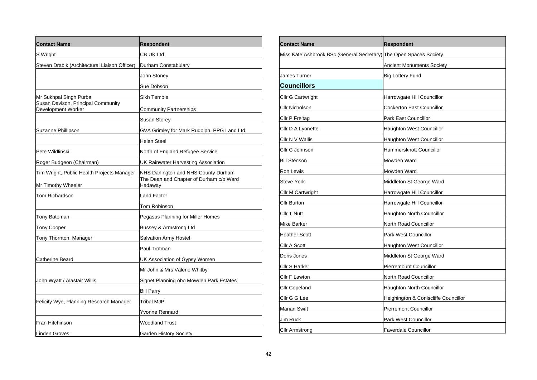| <b>Contact Name</b>                                      | <b>Respondent</b>                                  |
|----------------------------------------------------------|----------------------------------------------------|
| S Wright                                                 | CB UK Ltd                                          |
| Steven Drabik (Architectural Liaison Officer)            | Durham Constabulary                                |
|                                                          | John Stoney                                        |
|                                                          | Sue Dobson                                         |
| Mr Sukhpal Singh Purba                                   | Sikh Temple                                        |
| Susan Davison, Principal Community<br>Development Worker | <b>Community Partnerships</b>                      |
|                                                          | Susan Storey                                       |
| Suzanne Phillipson                                       | GVA Grimley for Mark Rudolph, PPG Land Ltd.        |
|                                                          | <b>Helen Steel</b>                                 |
| Pete Wildlinski                                          | North of England Refugee Service                   |
| Roger Budgeon (Chairman)                                 | UK Rainwater Harvesting Association                |
| Tim Wright, Public Health Projects Manager               | NHS Darlington and NHS County Durham               |
| Mr Timothy Wheeler                                       | The Dean and Chapter of Durham c/o Ward<br>Hadaway |
| Tom Richardson                                           | Land Factor                                        |
|                                                          | Tom Robinson                                       |
| <b>Tony Bateman</b>                                      | Pegasus Planning for Miller Homes                  |
| <b>Tony Cooper</b>                                       | Bussey & Armstrong Ltd                             |
| Tony Thornton, Manager                                   | <b>Salvation Army Hostel</b>                       |
|                                                          | Paul Trotman                                       |
| Catherine Beard                                          | UK Association of Gypsy Women                      |
|                                                          | Mr John & Mrs Valerie Whitby                       |
| John Wyatt / Alastair Willis                             | Signet Planning obo Mowden Park Estates            |
|                                                          | <b>Bill Parry</b>                                  |
| Felicity Wye, Planning Research Manager                  | Tribal MJP                                         |
|                                                          | <b>Yvonne Rennard</b>                              |
| Fran Hitchinson                                          | <b>Woodland Trust</b>                              |
| Linden Groves                                            | <b>Garden History Society</b>                      |

| <b>Contact Name</b>                        | <b>Respondent</b>                    |
|--------------------------------------------|--------------------------------------|
| Miss Kate Ashbrook BSc (General Secretary) | The Open Spaces Society              |
|                                            | <b>Ancient Monuments Society</b>     |
| James Turner                               | <b>Big Lottery Fund</b>              |
| <b>Councillors</b>                         |                                      |
| Cllr G Cartwright                          | Harrowgate Hill Councillor           |
| Cllr Nicholson                             | Cockerton East Councillor            |
| Cllr P Freitag                             | Park East Councillor                 |
| Cllr D A Lyonette                          | Haughton West Councillor             |
| Cllr N V Wallis                            | <b>Haughton West Councillor</b>      |
| Cllr C Johnson                             | Hummersknott Councillor              |
| <b>Bill Stenson</b>                        | Mowden Ward                          |
| Ron Lewis                                  | Mowden Ward                          |
| <b>Steve York</b>                          | Middleton St George Ward             |
| Cllr M Cartwright                          | Harrowgate Hill Councillor           |
| Cllr Burton                                | Harrowgate Hill Councillor           |
| Cllr T Nutt                                | <b>Haughton North Councillor</b>     |
| Mike Barker                                | North Road Councillor                |
| <b>Heather Scott</b>                       | Park West Councillor                 |
| Cllr A Scott                               | Haughton West Councillor             |
| Doris Jones                                | Middleton St George Ward             |
| Cllr S Harker                              | <b>Pierremount Councillor</b>        |
| Cllr F Lawton                              | North Road Councillor                |
| <b>Cllr Copeland</b>                       | Haughton North Councillor            |
| Cllr G G Lee                               | Heighington & Coniscliffe Councillor |
| <b>Marian Swift</b>                        | <b>Pierremont Councillor</b>         |
| Jim Ruck                                   | Park West Councillor                 |
| Cllr Armstrong                             | <b>Faverdale Councillor</b>          |